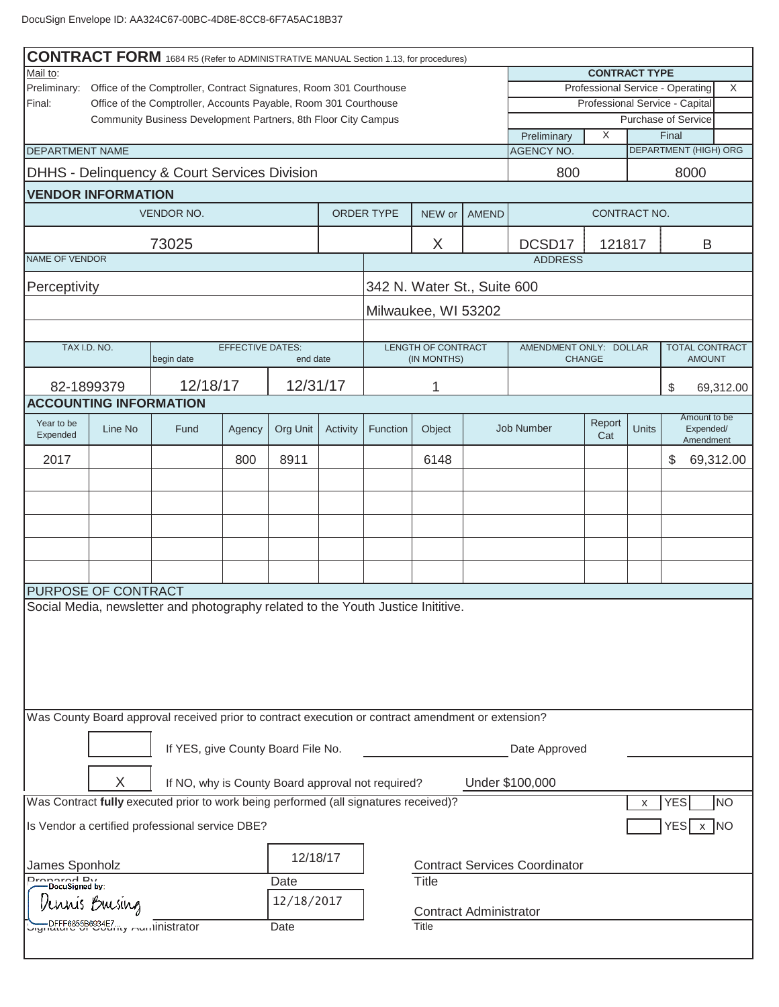|                                                                                     |                                                                                                                                              | <b>CONTRACT FORM</b> 1684 R5 (Refer to ADMINISTRATIVE MANUAL Section 1.13, for procedures)         |                         |            |          |            |                                          |                                                       |                                      |               |              |                                        |           |
|-------------------------------------------------------------------------------------|----------------------------------------------------------------------------------------------------------------------------------------------|----------------------------------------------------------------------------------------------------|-------------------------|------------|----------|------------|------------------------------------------|-------------------------------------------------------|--------------------------------------|---------------|--------------|----------------------------------------|-----------|
| Mail to:                                                                            |                                                                                                                                              |                                                                                                    |                         |            |          |            | <b>CONTRACT TYPE</b>                     |                                                       |                                      |               |              |                                        |           |
| Preliminary:<br>Office of the Comptroller, Contract Signatures, Room 301 Courthouse |                                                                                                                                              |                                                                                                    |                         |            |          |            |                                          | Professional Service - Operating<br>X                 |                                      |               |              |                                        |           |
|                                                                                     | Final:<br>Office of the Comptroller, Accounts Payable, Room 301 Courthouse<br>Community Business Development Partners, 8th Floor City Campus |                                                                                                    |                         |            |          |            |                                          | Professional Service - Capital<br>Purchase of Service |                                      |               |              |                                        |           |
|                                                                                     |                                                                                                                                              |                                                                                                    |                         |            |          |            |                                          |                                                       | Preliminary                          | X             |              | Final                                  |           |
| <b>DEPARTMENT NAME</b>                                                              |                                                                                                                                              |                                                                                                    |                         |            |          |            |                                          |                                                       | <b>AGENCY NO.</b>                    |               |              | <b>DEPARTMENT (HIGH) ORG</b>           |           |
|                                                                                     |                                                                                                                                              | DHHS - Delinquency & Court Services Division                                                       |                         |            |          |            |                                          |                                                       | 800                                  |               |              | 8000                                   |           |
|                                                                                     | <b>VENDOR INFORMATION</b>                                                                                                                    |                                                                                                    |                         |            |          |            |                                          |                                                       |                                      |               |              |                                        |           |
|                                                                                     |                                                                                                                                              | <b>VENDOR NO.</b>                                                                                  |                         |            |          | ORDER TYPE | NEW or                                   | <b>AMEND</b><br>CONTRACT NO.                          |                                      |               |              |                                        |           |
|                                                                                     |                                                                                                                                              | 73025                                                                                              |                         |            |          |            | X                                        |                                                       | DCSD17                               | 121817        |              | B                                      |           |
| NAME OF VENDOR                                                                      |                                                                                                                                              |                                                                                                    |                         |            |          |            |                                          |                                                       | <b>ADDRESS</b>                       |               |              |                                        |           |
| Perceptivity                                                                        |                                                                                                                                              |                                                                                                    |                         |            |          |            | 342 N. Water St., Suite 600              |                                                       |                                      |               |              |                                        |           |
|                                                                                     |                                                                                                                                              |                                                                                                    |                         |            |          |            | Milwaukee, WI 53202                      |                                                       |                                      |               |              |                                        |           |
|                                                                                     |                                                                                                                                              |                                                                                                    |                         |            |          |            |                                          |                                                       |                                      |               |              |                                        |           |
|                                                                                     | TAX I.D. NO.                                                                                                                                 | begin date                                                                                         | <b>EFFECTIVE DATES:</b> | end date   |          |            | <b>LENGTH OF CONTRACT</b><br>(IN MONTHS) |                                                       | AMENDMENT ONLY: DOLLAR               | <b>CHANGE</b> |              | <b>TOTAL CONTRACT</b><br><b>AMOUNT</b> |           |
|                                                                                     |                                                                                                                                              |                                                                                                    |                         |            |          |            |                                          |                                                       |                                      |               |              |                                        |           |
|                                                                                     | 82-1899379<br><b>ACCOUNTING INFORMATION</b>                                                                                                  | 12/18/17                                                                                           |                         | 12/31/17   |          |            | 1                                        |                                                       |                                      |               |              | \$                                     | 69,312.00 |
|                                                                                     |                                                                                                                                              |                                                                                                    |                         |            |          |            |                                          |                                                       |                                      |               |              | Amount to be                           |           |
| Year to be<br>Expended                                                              | Line No                                                                                                                                      | Fund                                                                                               | Agency                  | Org Unit   | Activity | Function   | Object                                   |                                                       | <b>Job Number</b>                    | Report<br>Cat | <b>Units</b> | Expended/<br>Amendment                 |           |
| 2017                                                                                |                                                                                                                                              |                                                                                                    | 800                     | 8911       |          |            | 6148                                     |                                                       |                                      |               |              | \$                                     | 69,312.00 |
|                                                                                     |                                                                                                                                              |                                                                                                    |                         |            |          |            |                                          |                                                       |                                      |               |              |                                        |           |
|                                                                                     |                                                                                                                                              |                                                                                                    |                         |            |          |            |                                          |                                                       |                                      |               |              |                                        |           |
|                                                                                     |                                                                                                                                              |                                                                                                    |                         |            |          |            |                                          |                                                       |                                      |               |              |                                        |           |
|                                                                                     |                                                                                                                                              |                                                                                                    |                         |            |          |            |                                          |                                                       |                                      |               |              |                                        |           |
|                                                                                     |                                                                                                                                              |                                                                                                    |                         |            |          |            |                                          |                                                       |                                      |               |              |                                        |           |
|                                                                                     |                                                                                                                                              |                                                                                                    |                         |            |          |            |                                          |                                                       |                                      |               |              |                                        |           |
|                                                                                     | PURPOSE OF CONTRACT                                                                                                                          |                                                                                                    |                         |            |          |            |                                          |                                                       |                                      |               |              |                                        |           |
| Social Media, newsletter and photography related to the Youth Justice Inititive.    |                                                                                                                                              |                                                                                                    |                         |            |          |            |                                          |                                                       |                                      |               |              |                                        |           |
|                                                                                     |                                                                                                                                              |                                                                                                    |                         |            |          |            |                                          |                                                       |                                      |               |              |                                        |           |
|                                                                                     |                                                                                                                                              |                                                                                                    |                         |            |          |            |                                          |                                                       |                                      |               |              |                                        |           |
|                                                                                     |                                                                                                                                              |                                                                                                    |                         |            |          |            |                                          |                                                       |                                      |               |              |                                        |           |
|                                                                                     |                                                                                                                                              |                                                                                                    |                         |            |          |            |                                          |                                                       |                                      |               |              |                                        |           |
|                                                                                     |                                                                                                                                              | Was County Board approval received prior to contract execution or contract amendment or extension? |                         |            |          |            |                                          |                                                       |                                      |               |              |                                        |           |
|                                                                                     |                                                                                                                                              |                                                                                                    |                         |            |          |            |                                          |                                                       |                                      |               |              |                                        |           |
|                                                                                     |                                                                                                                                              | If YES, give County Board File No.                                                                 |                         |            |          |            |                                          |                                                       | Date Approved                        |               |              |                                        |           |
|                                                                                     | X                                                                                                                                            | If NO, why is County Board approval not required?                                                  |                         |            |          |            |                                          |                                                       |                                      |               |              |                                        |           |
|                                                                                     |                                                                                                                                              | Was Contract fully executed prior to work being performed (all signatures received)?               |                         |            |          |            |                                          |                                                       | Under \$100,000                      |               | X            | YES                                    | <b>NO</b> |
|                                                                                     |                                                                                                                                              |                                                                                                    |                         |            |          |            |                                          |                                                       |                                      |               |              |                                        |           |
|                                                                                     |                                                                                                                                              | Is Vendor a certified professional service DBE?                                                    |                         |            |          |            |                                          |                                                       |                                      |               |              | YES<br>$\mathsf{x}$                    | INO       |
|                                                                                     |                                                                                                                                              |                                                                                                    |                         | 12/18/17   |          |            |                                          |                                                       |                                      |               |              |                                        |           |
| James Sponholz<br>Dronarod Du                                                       |                                                                                                                                              |                                                                                                    |                         |            |          |            |                                          |                                                       | <b>Contract Services Coordinator</b> |               |              |                                        |           |
| DocuSigned by:                                                                      |                                                                                                                                              |                                                                                                    |                         | Date       |          |            | <b>Title</b>                             |                                                       |                                      |               |              |                                        |           |
|                                                                                     | uuis Buesiug                                                                                                                                 |                                                                                                    |                         | 12/18/2017 |          |            | <b>Contract Administrator</b>            |                                                       |                                      |               |              |                                        |           |
|                                                                                     | DFFF6855B6934E7<br>Title<br><u>וויוטרענפט און וויטרענג</u> און inistrator<br>Date                                                            |                                                                                                    |                         |            |          |            |                                          |                                                       |                                      |               |              |                                        |           |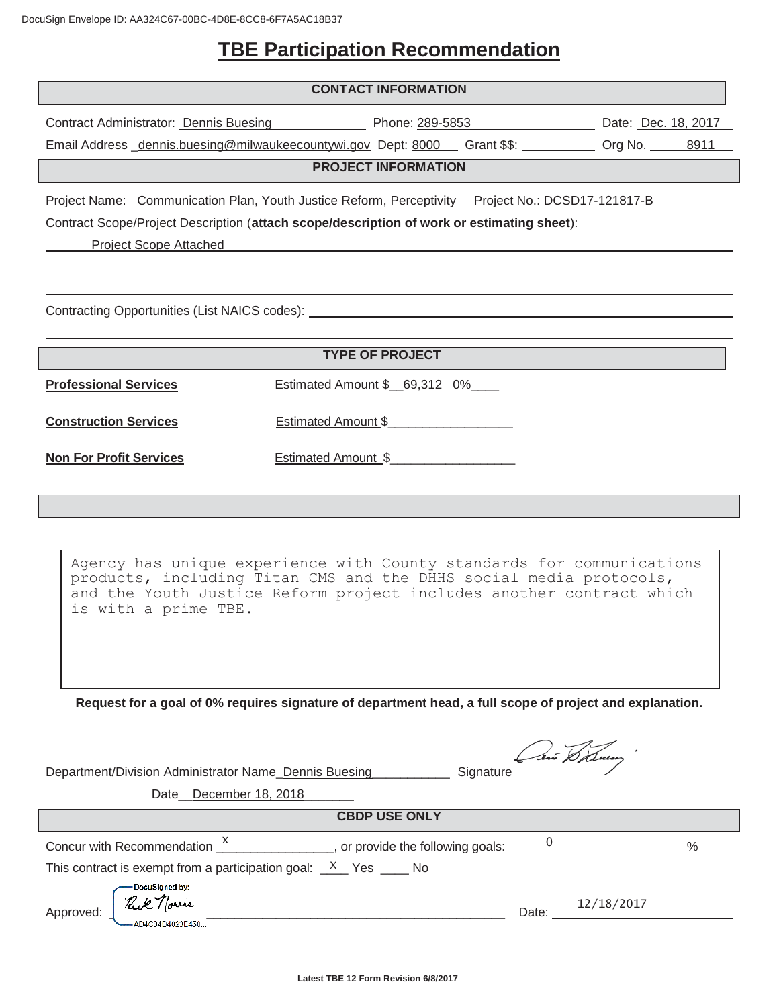# **TBE Participation Recommendation**

|                                                                                                                                                                                                                                                                                                                                                                                                                                                                                 | <b>CONTACT INFORMATION</b>                                                                                                                                                                                          |                                      |  |  |  |
|---------------------------------------------------------------------------------------------------------------------------------------------------------------------------------------------------------------------------------------------------------------------------------------------------------------------------------------------------------------------------------------------------------------------------------------------------------------------------------|---------------------------------------------------------------------------------------------------------------------------------------------------------------------------------------------------------------------|--------------------------------------|--|--|--|
|                                                                                                                                                                                                                                                                                                                                                                                                                                                                                 | Contract Administrator: Dennis Buesing Thone: 289-5853 Dentract Administrator: Dennis Buesing Thomas Phone: 289-5853<br>Email Address dennis.buesing@milwaukeecountywi.gov Dept: 8000 Grant \$\$: 000 Org No. 28911 |                                      |  |  |  |
|                                                                                                                                                                                                                                                                                                                                                                                                                                                                                 | <b>PROJECT INFORMATION</b>                                                                                                                                                                                          |                                      |  |  |  |
| Project Name: Communication Plan, Youth Justice Reform, Perceptivity Project No.: DCSD17-121817-B<br>Contract Scope/Project Description (attach scope/description of work or estimating sheet):<br>Project Scope Attached <b>Example 2018</b><br>Contracting Opportunities (List NAICS codes): Network and the contraction of the contraction of the contraction of the contraction of the contraction of the contraction of the contraction of the contraction of the contract |                                                                                                                                                                                                                     |                                      |  |  |  |
|                                                                                                                                                                                                                                                                                                                                                                                                                                                                                 |                                                                                                                                                                                                                     |                                      |  |  |  |
|                                                                                                                                                                                                                                                                                                                                                                                                                                                                                 | <b>TYPE OF PROJECT</b>                                                                                                                                                                                              |                                      |  |  |  |
| <b>Professional Services</b>                                                                                                                                                                                                                                                                                                                                                                                                                                                    | Estimated Amount \$ 69,312 0%                                                                                                                                                                                       |                                      |  |  |  |
| <b>Construction Services</b>                                                                                                                                                                                                                                                                                                                                                                                                                                                    | Estimated Amount \$                                                                                                                                                                                                 |                                      |  |  |  |
| <b>Non For Profit Services</b>                                                                                                                                                                                                                                                                                                                                                                                                                                                  | Estimated Amount \$                                                                                                                                                                                                 |                                      |  |  |  |
|                                                                                                                                                                                                                                                                                                                                                                                                                                                                                 |                                                                                                                                                                                                                     |                                      |  |  |  |
| Agency has unique experience with County standards for communications<br>products, including Titan CMS and the DHHS social media protocols,<br>and the Youth Justice Reform project includes another contract which<br>is with a prime TBE.                                                                                                                                                                                                                                     |                                                                                                                                                                                                                     |                                      |  |  |  |
| Request for a goal of 0% requires signature of department head, a full scope of project and explanation.<br>Can Deaung.                                                                                                                                                                                                                                                                                                                                                         |                                                                                                                                                                                                                     |                                      |  |  |  |
| Department/Division Administrator Name_Dennis Buesing___________                                                                                                                                                                                                                                                                                                                                                                                                                | Signature                                                                                                                                                                                                           |                                      |  |  |  |
| Date December 18, 2018                                                                                                                                                                                                                                                                                                                                                                                                                                                          |                                                                                                                                                                                                                     |                                      |  |  |  |
|                                                                                                                                                                                                                                                                                                                                                                                                                                                                                 | <b>CBDP USE ONLY</b>                                                                                                                                                                                                |                                      |  |  |  |
| This contract is exempt from a participation goal: $\frac{X}{X}$ Yes ____ No                                                                                                                                                                                                                                                                                                                                                                                                    | Concur with Recommendation $\frac{x}{1-x}$ , or provide the following goals:                                                                                                                                        | $0 \underline{\hspace{1cm}}$<br>$\%$ |  |  |  |
| DocuSigned by:<br>Date: $12/18/2017$                                                                                                                                                                                                                                                                                                                                                                                                                                            |                                                                                                                                                                                                                     |                                      |  |  |  |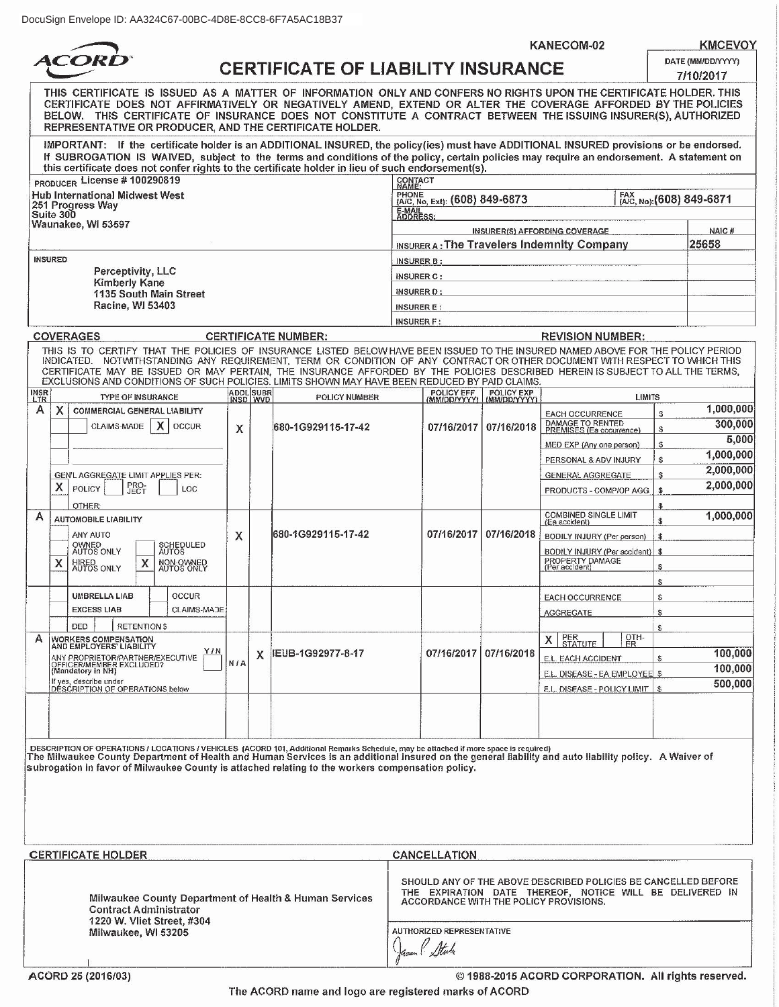**ACORD** 

| :uSign Envelope ID: AA324C67-00BC-4D8E-8CC8-6F7A5AC18B37                                                                                                                                                                                                                                                                                                                                                         |                                                |                                |  |  |  |
|------------------------------------------------------------------------------------------------------------------------------------------------------------------------------------------------------------------------------------------------------------------------------------------------------------------------------------------------------------------------------------------------------------------|------------------------------------------------|--------------------------------|--|--|--|
|                                                                                                                                                                                                                                                                                                                                                                                                                  | KANECOM-02                                     | <b>KMCEVOY</b>                 |  |  |  |
| <b>ACORD®</b>                                                                                                                                                                                                                                                                                                                                                                                                    | <b>CERTIFICATE OF LIABILITY INSURANCE</b>      | DATE (MM/DD/YYYY)<br>7/10/2017 |  |  |  |
| THIS CERTIFICATE IS ISSUED AS A MATTER OF INFORMATION ONLY AND CONFERS NO RIGHTS UPON THE CERTIFICATE HOLDER. THIS<br>CERTIFICATE DOES NOT AFFIRMATIVELY OR NEGATIVELY AMEND. EXTEND OR ALTER THE COVERAGE AFFORDED BY THE POLICIES<br>BELOW. THIS CERTIFICATE OF INSURANCE DOES NOT CONSTITUTE A CONTRACT BETWEEN THE ISSUING INSURER(S), AUTHORIZED<br>REPRESENTATIVE OR PRODUCER, AND THE CERTIFICATE HOLDER. |                                                |                                |  |  |  |
| IMPORTANT: If the certificate holder is an ADDITIONAL INSURED, the policy(ies) must have ADDITIONAL INSURED provisions or be endorsed.<br>If SUBROGATION IS WAIVED, subject to the terms and conditions of the policy, certain policies may require an endorsement. A statement on<br>this certificate does not confer rights to the certificate holder in lieu of such endorsement(s).                          |                                                |                                |  |  |  |
| <sub>RODUCER</sub> License # 100290819                                                                                                                                                                                                                                                                                                                                                                           | CONTACT<br>NAME:                               |                                |  |  |  |
| ub International Midwest West<br>51 Progress Way                                                                                                                                                                                                                                                                                                                                                                 | PHONE (A/C, No, Ext): (608) 849-6873<br>E-MAIL | FAX (A/C, No): (608) 849-6871  |  |  |  |
| $$ $$ $n \times n$                                                                                                                                                                                                                                                                                                                                                                                               |                                                |                                |  |  |  |

| $'$ PRODUCER License # 100290819                                  | CONTACT<br>NAME:                           |                               |  |  |
|-------------------------------------------------------------------|--------------------------------------------|-------------------------------|--|--|
| Hub International Midwest West<br> 251 Progress Way<br> Suite 300 | PHONE (A/C, No, Ext): (608) 849-6873       | FAX (A/C, No): (608) 849-6871 |  |  |
|                                                                   | E-MAIL<br>ADDRESS:                         |                               |  |  |
| Waunakee, WI 53597                                                | <b>INSURER(S) AFFORDING COVERAGE</b>       | NAIC#                         |  |  |
|                                                                   | INSURER A: The Travelers Indemnity Company | 25658                         |  |  |
| <b>INSURED</b>                                                    | <b>INSURER B:</b>                          |                               |  |  |
| Perceptivity, LLC<br><b>Kimberly Kane</b>                         | <b>INSURER C:</b>                          |                               |  |  |
| 1135 South Main Street                                            | INSURER D :                                |                               |  |  |
| Racine, WI 53403                                                  | <b>INSURER E:</b>                          |                               |  |  |
|                                                                   | INCHEED E.                                 |                               |  |  |

| <b>COVERAGES</b> |                                                                                                                                                                                                                                                                                                                                                                                                                                                                                                    |            | <b>CERTIFICATE NUMBER:</b> |                                    |            | <b>REVISION NUMBER:</b>                          |                                               |                      |
|------------------|----------------------------------------------------------------------------------------------------------------------------------------------------------------------------------------------------------------------------------------------------------------------------------------------------------------------------------------------------------------------------------------------------------------------------------------------------------------------------------------------------|------------|----------------------------|------------------------------------|------------|--------------------------------------------------|-----------------------------------------------|----------------------|
|                  | THIS IS TO CERTIFY THAT THE POLICIES OF INSURANCE LISTED BELOW HAVE BEEN ISSUED TO THE INSURED NAMED ABOVE FOR THE POLICY PERIOD<br>INDICATED. NOTWITHSTANDING ANY REQUIREMENT, TERM OR CONDITION OF ANY CONTRACT OR OTHER DOCUMENT WITH RESPECT TO WHICH THIS<br>CERTIFICATE MAY BE ISSUED OR MAY PERTAIN, THE INSURANCE AFFORDED BY THE POLICIES DESCRIBED HEREIN IS SUBJECT TO ALL THE TERMS,<br>EXCLUSIONS AND CONDITIONS OF SUCH POLICIES. LIMITS SHOWN MAY HAVE BEEN REDUCED BY PAID CLAIMS. |            |                            |                                    |            |                                                  |                                               |                      |
| INSR<br>LTR      | <b>TYPE OF INSURANCE</b>                                                                                                                                                                                                                                                                                                                                                                                                                                                                           |            | ADDL SUBR<br>INSD WVD      | <b>POLICY EFF</b><br>POLICY NUMBER |            | <b>POLICY EXP</b><br>(MM/DD/YYYY)   (MM/DD/YYYY) | <b>LIMITS</b>                                 |                      |
| A                | х<br>COMMERCIAL GENERAL LIABILITY                                                                                                                                                                                                                                                                                                                                                                                                                                                                  |            |                            |                                    |            |                                                  | <b>EACH OCCURRENCE</b>                        | 1,000,000<br>\$      |
|                  | X<br><b>CLAIMS-MADE</b><br><b>OCCUR</b>                                                                                                                                                                                                                                                                                                                                                                                                                                                            | X          |                            | 680-1G929115-17-42                 | 07/16/2017 | 07/16/2018                                       | DAMAGE TO RENTED<br>PREMISES (Ea occurrence)  | 300,000<br>\$        |
|                  |                                                                                                                                                                                                                                                                                                                                                                                                                                                                                                    |            |                            |                                    |            |                                                  | MED EXP (Any one person)                      | 5,000<br>\$          |
|                  |                                                                                                                                                                                                                                                                                                                                                                                                                                                                                                    |            |                            |                                    |            |                                                  | PERSONAL & ADV INJURY                         | 1,000,000<br>\$      |
|                  | GEN'L AGGREGATE LIMIT APPLIES PER:                                                                                                                                                                                                                                                                                                                                                                                                                                                                 |            |                            |                                    |            |                                                  | <b>GENERAL AGGREGATE</b>                      | 2,000,000<br>\$      |
|                  | <b>FRO-</b><br>x<br>POLICY<br>LOC                                                                                                                                                                                                                                                                                                                                                                                                                                                                  |            |                            |                                    |            |                                                  | PRODUCTS - COMPJOP AGG                        | 2,000,000<br>\$      |
|                  | OTHER:                                                                                                                                                                                                                                                                                                                                                                                                                                                                                             |            |                            |                                    |            |                                                  |                                               | \$                   |
| А                | <b>AUTOMOBILE LIABILITY</b>                                                                                                                                                                                                                                                                                                                                                                                                                                                                        |            |                            |                                    |            |                                                  | <b>COMBINED SINGLE LIMIT</b><br>(Ea accident) | 1,000,000<br>\$      |
|                  | ANY AUTO                                                                                                                                                                                                                                                                                                                                                                                                                                                                                           | X          |                            | 680-1G929115-17-42                 | 07/16/2017 | 07/16/2018                                       | BODILY INJURY (Per person)                    | \$                   |
|                  | OWNED<br>AUTOS ONLY<br>SCHEDULED<br>AUTOS                                                                                                                                                                                                                                                                                                                                                                                                                                                          |            |                            |                                    |            |                                                  | BODILY INJURY (Per accident)   \$             |                      |
| x                | X<br>HIRED<br>AUTOS ONLY<br>NON-OWNED<br>AUTOS ONLY                                                                                                                                                                                                                                                                                                                                                                                                                                                |            |                            |                                    |            |                                                  | PROPERTY DAMAGE<br>(Per accident)             | \$                   |
|                  |                                                                                                                                                                                                                                                                                                                                                                                                                                                                                                    |            |                            |                                    |            |                                                  |                                               | \$                   |
|                  | <b>OCCUR</b><br><b>UMBRELLA LIAB</b>                                                                                                                                                                                                                                                                                                                                                                                                                                                               |            |                            |                                    |            |                                                  | <b>EACH OCCURRENCE</b>                        | \$                   |
|                  | <b>EXCESS LIAB</b><br><b>CLAIMS-MADE</b>                                                                                                                                                                                                                                                                                                                                                                                                                                                           |            |                            |                                    |            |                                                  | <b>AGGREGATE</b>                              | \$                   |
|                  | <b>DED</b><br><b>RETENTION \$</b>                                                                                                                                                                                                                                                                                                                                                                                                                                                                  |            |                            |                                    |            |                                                  |                                               | \$                   |
| А                | <b>WORKERS COMPENSATION<br/>AND EMPLOYERS' LIABILITY</b>                                                                                                                                                                                                                                                                                                                                                                                                                                           |            |                            |                                    |            |                                                  | OTH-<br>ER<br>PER<br>STATUTE<br>x             |                      |
|                  | Y/N<br>ANY PROPRIETOR/PARTNER/EXECUTIVE<br>OFFICER/MEMBER EXCLUDED?<br>(Mandatory in NH)                                                                                                                                                                                                                                                                                                                                                                                                           | <b>N/A</b> | X.                         | IEUB-1G92977-8-17                  | 07/16/2017 | 07/16/2018                                       | E.L. EACH ACCIDENT                            | 100,000<br>\$        |
|                  |                                                                                                                                                                                                                                                                                                                                                                                                                                                                                                    |            |                            |                                    |            |                                                  | E.L. DISEASE - EA EMPLOYEE \$                 | 100,000              |
|                  | If yes, describe under<br>DESCRIPTION OF OPERATIONS below                                                                                                                                                                                                                                                                                                                                                                                                                                          |            |                            |                                    |            |                                                  | E.L. DISEASE - POLICY LIMIT                   | 500,000<br><b>\$</b> |
|                  |                                                                                                                                                                                                                                                                                                                                                                                                                                                                                                    |            |                            |                                    |            |                                                  |                                               |                      |
|                  |                                                                                                                                                                                                                                                                                                                                                                                                                                                                                                    |            |                            |                                    |            |                                                  |                                               |                      |
|                  |                                                                                                                                                                                                                                                                                                                                                                                                                                                                                                    |            |                            |                                    |            |                                                  |                                               |                      |
|                  | │ DESCRIPTION OF OPERATIONS / LOCATIONS / VEHICLES (ACORD 101, Additional Remarks Schedule, may be attached if more space is required)<br>∏he Milwaukee County Department of Health and Human Services is an additional insured                                                                                                                                                                                                                                                                    |            |                            |                                    |            |                                                  |                                               |                      |
|                  | subrogation in favor of Milwaukee County is attached relating to the workers compensation policy.                                                                                                                                                                                                                                                                                                                                                                                                  |            |                            |                                    |            |                                                  |                                               |                      |
|                  |                                                                                                                                                                                                                                                                                                                                                                                                                                                                                                    |            |                            |                                    |            |                                                  |                                               |                      |

| <b>CERTIFICATE HOLDER</b>                                                               | <b>CANCELLATION</b>                                                                                                                                                  |
|-----------------------------------------------------------------------------------------|----------------------------------------------------------------------------------------------------------------------------------------------------------------------|
| Milwaukee County Department of Health & Human Services<br><b>Contract Administrator</b> | SHOULD ANY OF THE ABOVE DESCRIBED POLICIES BE CANCELLED BEFORE<br>THE EXPIRATION DATE THEREOF, NOTICE WILL BE DELIVERED IN<br>ACCORDANCE WITH THE POLICY PROVISIONS. |
| 1220 W. Vliet Street, #304<br>Milwaukee, WI 53205                                       | AUTHORIZED REPRESENTATIVE                                                                                                                                            |

ACORD 25 (2016/03)

© 1988-2015 ACORD CORPORATION. All rights reserved.

The ACORD name and logo are registered marks of ACORD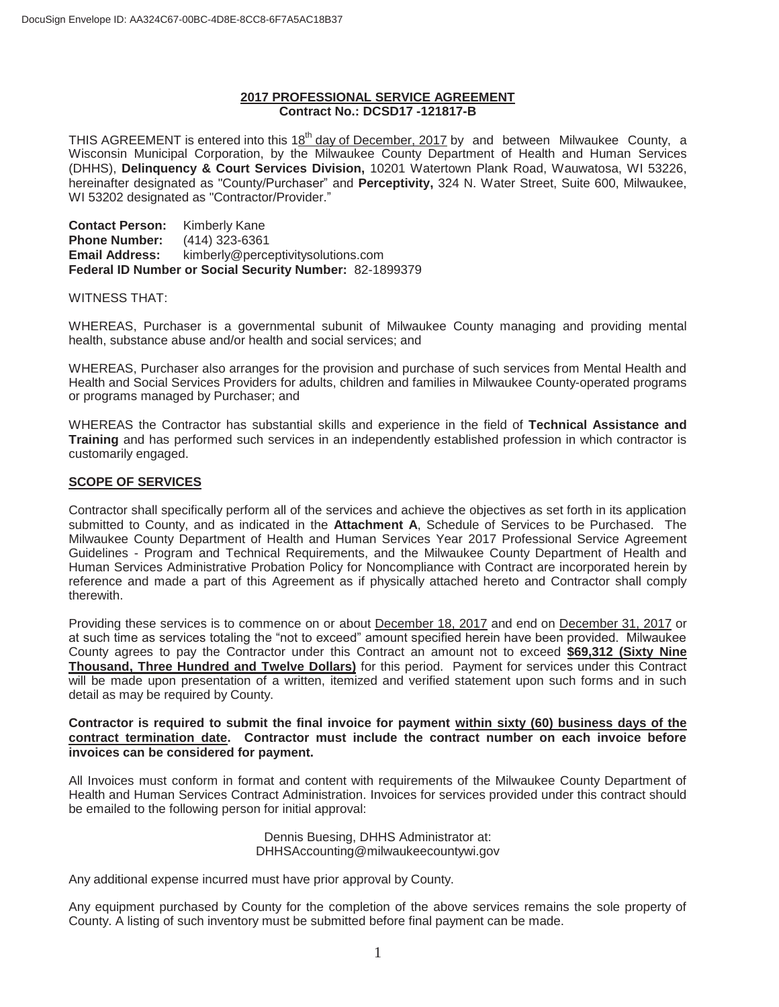#### **2017 PROFESSIONAL SERVICE AGREEMENT Contract No.: DCSD17 -121817-B**

THIS AGREEMENT is entered into this 18<sup>th</sup> day of December, 2017 by and between Milwaukee County, a Wisconsin Municipal Corporation, by the Milwaukee County Department of Health and Human Services (DHHS), **Delinquency & Court Services Division,** 10201 Watertown Plank Road, Wauwatosa, WI 53226, hereinafter designated as "County/Purchaser" and **Perceptivity,** 324 N. Water Street, Suite 600, Milwaukee, WI 53202 designated as "Contractor/Provider."

**Contact Person:** Kimberly Kane **Phone Number:** (414) 323-6361 **Email Address:** kimberly@perceptivitysolutions.com **Federal ID Number or Social Security Number:** 82-1899379

#### WITNESS THAT:

WHEREAS, Purchaser is a governmental subunit of Milwaukee County managing and providing mental health, substance abuse and/or health and social services; and

WHEREAS, Purchaser also arranges for the provision and purchase of such services from Mental Health and Health and Social Services Providers for adults, children and families in Milwaukee County-operated programs or programs managed by Purchaser; and

WHEREAS the Contractor has substantial skills and experience in the field of **Technical Assistance and Training** and has performed such services in an independently established profession in which contractor is customarily engaged.

#### **SCOPE OF SERVICES**

Contractor shall specifically perform all of the services and achieve the objectives as set forth in its application submitted to County, and as indicated in the **Attachment A**, Schedule of Services to be Purchased. The Milwaukee County Department of Health and Human Services Year 2017 Professional Service Agreement Guidelines - Program and Technical Requirements, and the Milwaukee County Department of Health and Human Services Administrative Probation Policy for Noncompliance with Contract are incorporated herein by reference and made a part of this Agreement as if physically attached hereto and Contractor shall comply therewith.

Providing these services is to commence on or about December 18, 2017 and end on December 31, 2017 or at such time as services totaling the "not to exceed" amount specified herein have been provided. Milwaukee County agrees to pay the Contractor under this Contract an amount not to exceed **\$69,312 (Sixty Nine Thousand, Three Hundred and Twelve Dollars)** for this period. Payment for services under this Contract will be made upon presentation of a written, itemized and verified statement upon such forms and in such detail as may be required by County.

#### **Contractor is required to submit the final invoice for payment within sixty (60) business days of the contract termination date. Contractor must include the contract number on each invoice before invoices can be considered for payment.**

All Invoices must conform in format and content with requirements of the Milwaukee County Department of Health and Human Services Contract Administration. Invoices for services provided under this contract should be emailed to the following person for initial approval:

> Dennis Buesing, DHHS Administrator at: DHHSAccounting@milwaukeecountywi.gov

Any additional expense incurred must have prior approval by County.

Any equipment purchased by County for the completion of the above services remains the sole property of County. A listing of such inventory must be submitted before final payment can be made.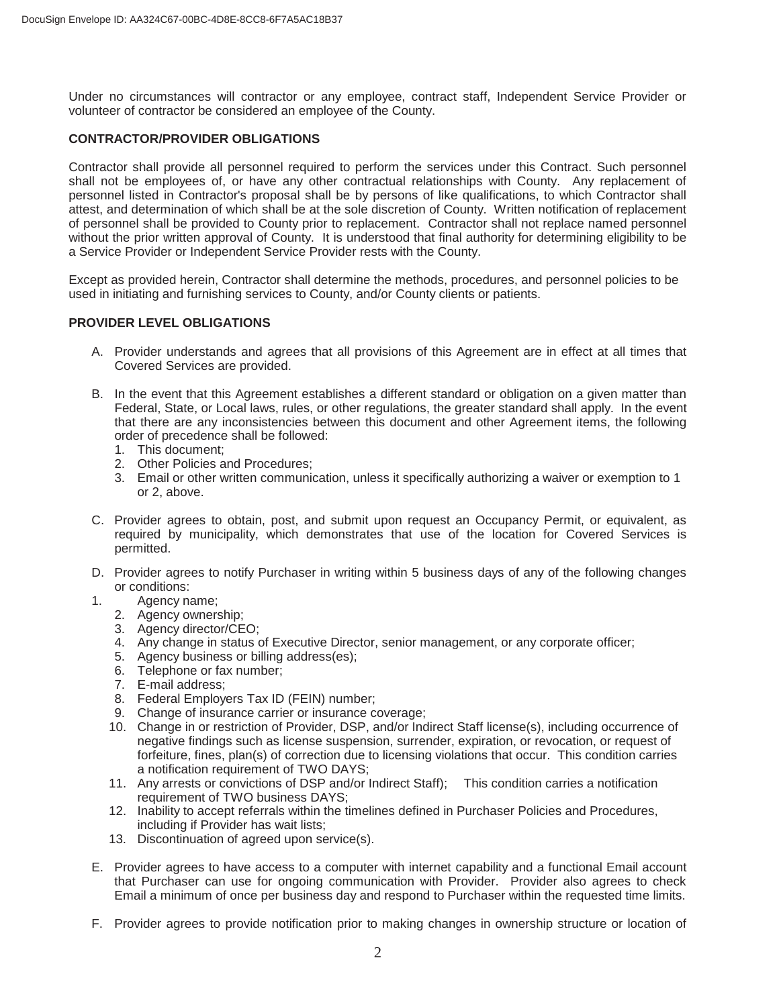Under no circumstances will contractor or any employee, contract staff, Independent Service Provider or volunteer of contractor be considered an employee of the County.

#### **CONTRACTOR/PROVIDER OBLIGATIONS**

Contractor shall provide all personnel required to perform the services under this Contract. Such personnel shall not be employees of, or have any other contractual relationships with County. Any replacement of personnel listed in Contractor's proposal shall be by persons of like qualifications, to which Contractor shall attest, and determination of which shall be at the sole discretion of County. Written notification of replacement of personnel shall be provided to County prior to replacement. Contractor shall not replace named personnel without the prior written approval of County. It is understood that final authority for determining eligibility to be a Service Provider or Independent Service Provider rests with the County.

Except as provided herein, Contractor shall determine the methods, procedures, and personnel policies to be used in initiating and furnishing services to County, and/or County clients or patients.

#### **PROVIDER LEVEL OBLIGATIONS**

- A. Provider understands and agrees that all provisions of this Agreement are in effect at all times that Covered Services are provided.
- B. In the event that this Agreement establishes a different standard or obligation on a given matter than Federal, State, or Local laws, rules, or other regulations, the greater standard shall apply. In the event that there are any inconsistencies between this document and other Agreement items, the following order of precedence shall be followed:
	- 1. This document;
	- 2. Other Policies and Procedures;
	- 3. Email or other written communication, unless it specifically authorizing a waiver or exemption to 1 or 2, above.
- C. Provider agrees to obtain, post, and submit upon request an Occupancy Permit, or equivalent, as required by municipality, which demonstrates that use of the location for Covered Services is permitted.
- D. Provider agrees to notify Purchaser in writing within 5 business days of any of the following changes or conditions:
- 1. Agency name;
	- 2. Agency ownership;
	- 3. Agency director/CEO;
	- 4. Any change in status of Executive Director, senior management, or any corporate officer;
	- 5. Agency business or billing address(es);
	- 6. Telephone or fax number;
	- 7. E-mail address;
	- 8. Federal Employers Tax ID (FEIN) number;
	- 9. Change of insurance carrier or insurance coverage;
	- 10. Change in or restriction of Provider, DSP, and/or Indirect Staff license(s), including occurrence of negative findings such as license suspension, surrender, expiration, or revocation, or request of forfeiture, fines, plan(s) of correction due to licensing violations that occur. This condition carries a notification requirement of TWO DAYS;
	- 11. Any arrests or convictions of DSP and/or Indirect Staff); This condition carries a notification requirement of TWO business DAYS;
	- 12. Inability to accept referrals within the timelines defined in Purchaser Policies and Procedures, including if Provider has wait lists;
	- 13. Discontinuation of agreed upon service(s).
- E. Provider agrees to have access to a computer with internet capability and a functional Email account that Purchaser can use for ongoing communication with Provider. Provider also agrees to check Email a minimum of once per business day and respond to Purchaser within the requested time limits.
- F. Provider agrees to provide notification prior to making changes in ownership structure or location of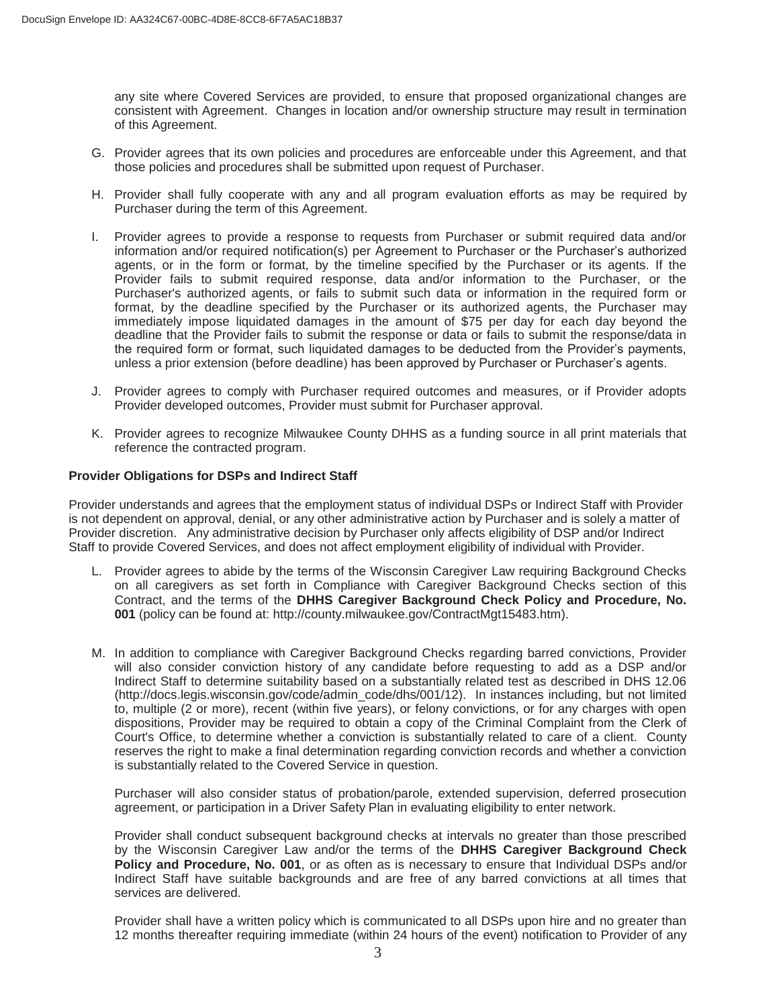any site where Covered Services are provided, to ensure that proposed organizational changes are consistent with Agreement. Changes in location and/or ownership structure may result in termination of this Agreement.

- G. Provider agrees that its own policies and procedures are enforceable under this Agreement, and that those policies and procedures shall be submitted upon request of Purchaser.
- H. Provider shall fully cooperate with any and all program evaluation efforts as may be required by Purchaser during the term of this Agreement.
- I. Provider agrees to provide a response to requests from Purchaser or submit required data and/or information and/or required notification(s) per Agreement to Purchaser or the Purchaser's authorized agents, or in the form or format, by the timeline specified by the Purchaser or its agents. If the Provider fails to submit required response, data and/or information to the Purchaser, or the Purchaser's authorized agents, or fails to submit such data or information in the required form or format, by the deadline specified by the Purchaser or its authorized agents, the Purchaser may immediately impose liquidated damages in the amount of \$75 per day for each day beyond the deadline that the Provider fails to submit the response or data or fails to submit the response/data in the required form or format, such liquidated damages to be deducted from the Provider's payments, unless a prior extension (before deadline) has been approved by Purchaser or Purchaser's agents.
- J. Provider agrees to comply with Purchaser required outcomes and measures, or if Provider adopts Provider developed outcomes, Provider must submit for Purchaser approval.
- K. Provider agrees to recognize Milwaukee County DHHS as a funding source in all print materials that reference the contracted program.

#### **Provider Obligations for DSPs and Indirect Staff**

Provider understands and agrees that the employment status of individual DSPs or Indirect Staff with Provider is not dependent on approval, denial, or any other administrative action by Purchaser and is solely a matter of Provider discretion. Any administrative decision by Purchaser only affects eligibility of DSP and/or Indirect Staff to provide Covered Services, and does not affect employment eligibility of individual with Provider.

- L. Provider agrees to abide by the terms of the Wisconsin Caregiver Law requiring Background Checks on all caregivers as set forth in Compliance with Caregiver Background Checks section of this Contract, and the terms of the **DHHS Caregiver Background Check Policy and Procedure, No. 001** (policy can be found at: http://county.milwaukee.gov/ContractMgt15483.htm).
- M. In addition to compliance with Caregiver Background Checks regarding barred convictions, Provider will also consider conviction history of any candidate before requesting to add as a DSP and/or Indirect Staff to determine suitability based on a substantially related test as described in DHS 12.06 (http://docs.legis.wisconsin.gov/code/admin\_code/dhs/001/12). In instances including, but not limited to, multiple (2 or more), recent (within five years), or felony convictions, or for any charges with open dispositions, Provider may be required to obtain a copy of the Criminal Complaint from the Clerk of Court's Office, to determine whether a conviction is substantially related to care of a client. County reserves the right to make a final determination regarding conviction records and whether a conviction is substantially related to the Covered Service in question.

Purchaser will also consider status of probation/parole, extended supervision, deferred prosecution agreement, or participation in a Driver Safety Plan in evaluating eligibility to enter network.

Provider shall conduct subsequent background checks at intervals no greater than those prescribed by the Wisconsin Caregiver Law and/or the terms of the **DHHS Caregiver Background Check Policy and Procedure, No. 001**, or as often as is necessary to ensure that Individual DSPs and/or Indirect Staff have suitable backgrounds and are free of any barred convictions at all times that services are delivered.

Provider shall have a written policy which is communicated to all DSPs upon hire and no greater than 12 months thereafter requiring immediate (within 24 hours of the event) notification to Provider of any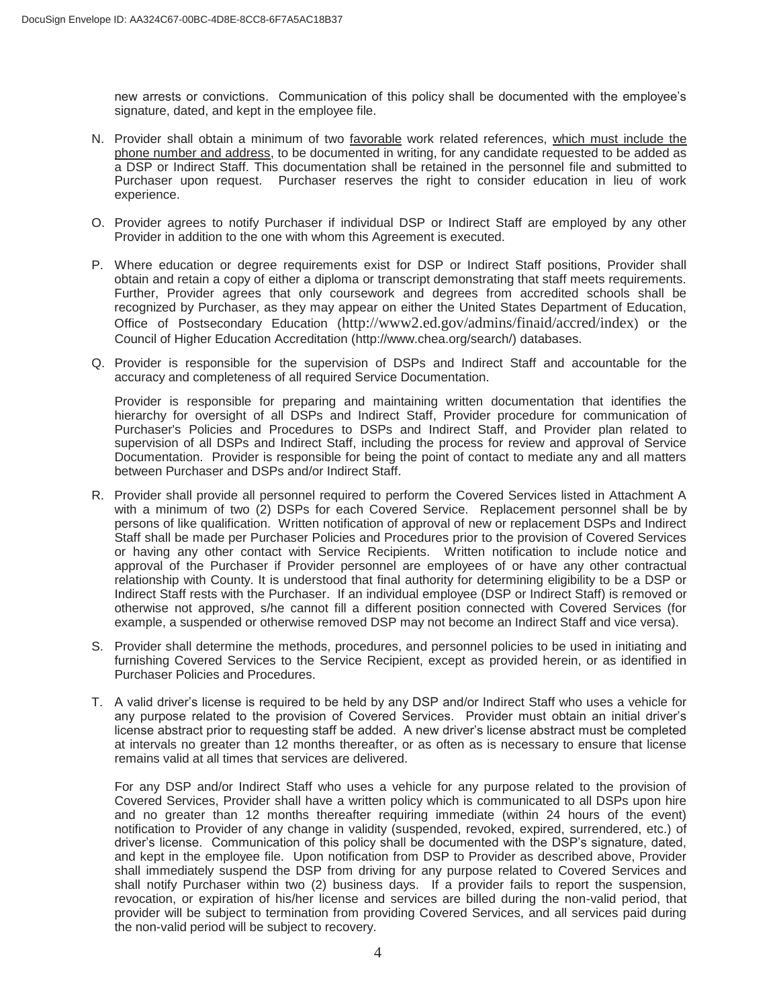new arrests or convictions. Communication of this policy shall be documented with the employee's signature, dated, and kept in the employee file.

- N. Provider shall obtain a minimum of two favorable work related references, which must include the phone number and address, to be documented in writing, for any candidate requested to be added as a DSP or Indirect Staff. This documentation shall be retained in the personnel file and submitted to Purchaser upon request. Purchaser reserves the right to consider education in lieu of work experience.
- O. Provider agrees to notify Purchaser if individual DSP or Indirect Staff are employed by any other Provider in addition to the one with whom this Agreement is executed.
- P. Where education or degree requirements exist for DSP or Indirect Staff positions, Provider shall obtain and retain a copy of either a diploma or transcript demonstrating that staff meets requirements. Further, Provider agrees that only coursework and degrees from accredited schools shall be recognized by Purchaser, as they may appear on either the United States Department of Education, Office of Postsecondary Education (http://www2.ed.gov/admins/finaid/accred/index) or the Council of Higher Education Accreditation (http://www.chea.org/search/) databases.
- Q. Provider is responsible for the supervision of DSPs and Indirect Staff and accountable for the accuracy and completeness of all required Service Documentation.

Provider is responsible for preparing and maintaining written documentation that identifies the hierarchy for oversight of all DSPs and Indirect Staff, Provider procedure for communication of Purchaser's Policies and Procedures to DSPs and Indirect Staff, and Provider plan related to supervision of all DSPs and Indirect Staff, including the process for review and approval of Service Documentation. Provider is responsible for being the point of contact to mediate any and all matters between Purchaser and DSPs and/or Indirect Staff.

- R. Provider shall provide all personnel required to perform the Covered Services listed in Attachment A with a minimum of two (2) DSPs for each Covered Service. Replacement personnel shall be by persons of like qualification. Written notification of approval of new or replacement DSPs and Indirect Staff shall be made per Purchaser Policies and Procedures prior to the provision of Covered Services or having any other contact with Service Recipients. Written notification to include notice and approval of the Purchaser if Provider personnel are employees of or have any other contractual relationship with County. It is understood that final authority for determining eligibility to be a DSP or Indirect Staff rests with the Purchaser. If an individual employee (DSP or Indirect Staff) is removed or otherwise not approved, s/he cannot fill a different position connected with Covered Services (for example, a suspended or otherwise removed DSP may not become an Indirect Staff and vice versa).
- S. Provider shall determine the methods, procedures, and personnel policies to be used in initiating and furnishing Covered Services to the Service Recipient, except as provided herein, or as identified in Purchaser Policies and Procedures.
- T. A valid driver's license is required to be held by any DSP and/or Indirect Staff who uses a vehicle for any purpose related to the provision of Covered Services. Provider must obtain an initial driver's license abstract prior to requesting staff be added. A new driver's license abstract must be completed at intervals no greater than 12 months thereafter, or as often as is necessary to ensure that license remains valid at all times that services are delivered.

For any DSP and/or Indirect Staff who uses a vehicle for any purpose related to the provision of Covered Services, Provider shall have a written policy which is communicated to all DSPs upon hire and no greater than 12 months thereafter requiring immediate (within 24 hours of the event) notification to Provider of any change in validity (suspended, revoked, expired, surrendered, etc.) of driver's license. Communication of this policy shall be documented with the DSP's signature, dated, and kept in the employee file. Upon notification from DSP to Provider as described above, Provider shall immediately suspend the DSP from driving for any purpose related to Covered Services and shall notify Purchaser within two (2) business days. If a provider fails to report the suspension, revocation, or expiration of his/her license and services are billed during the non-valid period, that provider will be subject to termination from providing Covered Services, and all services paid during the non-valid period will be subject to recovery.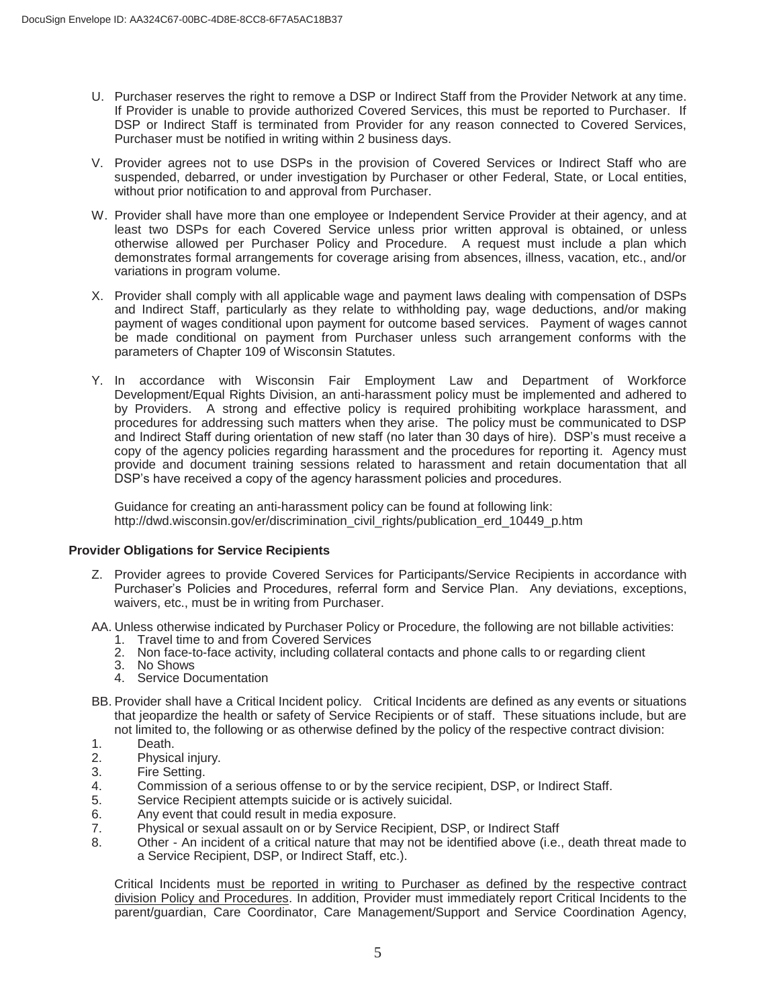- U. Purchaser reserves the right to remove a DSP or Indirect Staff from the Provider Network at any time. If Provider is unable to provide authorized Covered Services, this must be reported to Purchaser. If DSP or Indirect Staff is terminated from Provider for any reason connected to Covered Services, Purchaser must be notified in writing within 2 business days.
- V. Provider agrees not to use DSPs in the provision of Covered Services or Indirect Staff who are suspended, debarred, or under investigation by Purchaser or other Federal, State, or Local entities, without prior notification to and approval from Purchaser.
- W. Provider shall have more than one employee or Independent Service Provider at their agency, and at least two DSPs for each Covered Service unless prior written approval is obtained, or unless otherwise allowed per Purchaser Policy and Procedure. A request must include a plan which demonstrates formal arrangements for coverage arising from absences, illness, vacation, etc., and/or variations in program volume.
- X. Provider shall comply with all applicable wage and payment laws dealing with compensation of DSPs and Indirect Staff, particularly as they relate to withholding pay, wage deductions, and/or making payment of wages conditional upon payment for outcome based services. Payment of wages cannot be made conditional on payment from Purchaser unless such arrangement conforms with the parameters of Chapter 109 of Wisconsin Statutes.
- Y. In accordance with Wisconsin Fair Employment Law and Department of Workforce Development/Equal Rights Division, an anti-harassment policy must be implemented and adhered to by Providers. A strong and effective policy is required prohibiting workplace harassment, and procedures for addressing such matters when they arise. The policy must be communicated to DSP and Indirect Staff during orientation of new staff (no later than 30 days of hire). DSP's must receive a copy of the agency policies regarding harassment and the procedures for reporting it. Agency must provide and document training sessions related to harassment and retain documentation that all DSP's have received a copy of the agency harassment policies and procedures.

Guidance for creating an anti-harassment policy can be found at following link: http://dwd.wisconsin.gov/er/discrimination\_civil\_rights/publication\_erd\_10449\_p.htm

#### **Provider Obligations for Service Recipients**

- Z. Provider agrees to provide Covered Services for Participants/Service Recipients in accordance with Purchaser's Policies and Procedures, referral form and Service Plan. Any deviations, exceptions, waivers, etc., must be in writing from Purchaser.
- AA. Unless otherwise indicated by Purchaser Policy or Procedure, the following are not billable activities:
	- 1. Travel time to and from Covered Services
	- 2. Non face-to-face activity, including collateral contacts and phone calls to or regarding client
	- 3. No Shows
	- 4. Service Documentation
- BB. Provider shall have a Critical Incident policy. Critical Incidents are defined as any events or situations that jeopardize the health or safety of Service Recipients or of staff. These situations include, but are not limited to, the following or as otherwise defined by the policy of the respective contract division:
- 
- 1. Death.<br>2. Physica Physical injury.
- 3. Fire Setting.
- 4. Commission of a serious offense to or by the service recipient, DSP, or Indirect Staff.
- 5. Service Recipient attempts suicide or is actively suicidal.<br>6. Any event that could result in media exposure.
- Any event that could result in media exposure.
- 7. Physical or sexual assault on or by Service Recipient, DSP, or Indirect Staff
- 8. Other An incident of a critical nature that may not be identified above (i.e., death threat made to a Service Recipient, DSP, or Indirect Staff, etc.).

Critical Incidents must be reported in writing to Purchaser as defined by the respective contract division Policy and Procedures. In addition, Provider must immediately report Critical Incidents to the parent/guardian, Care Coordinator, Care Management/Support and Service Coordination Agency,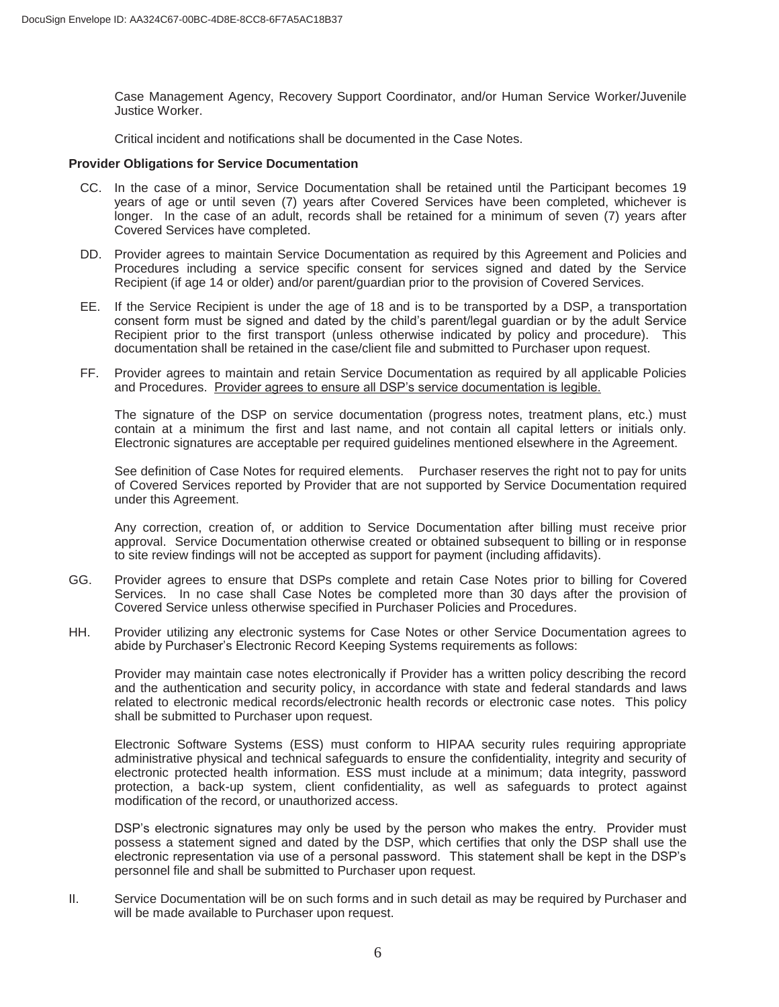Case Management Agency, Recovery Support Coordinator, and/or Human Service Worker/Juvenile Justice Worker.

Critical incident and notifications shall be documented in the Case Notes.

#### **Provider Obligations for Service Documentation**

- CC. In the case of a minor, Service Documentation shall be retained until the Participant becomes 19 years of age or until seven (7) years after Covered Services have been completed, whichever is longer. In the case of an adult, records shall be retained for a minimum of seven (7) years after Covered Services have completed.
- DD. Provider agrees to maintain Service Documentation as required by this Agreement and Policies and Procedures including a service specific consent for services signed and dated by the Service Recipient (if age 14 or older) and/or parent/guardian prior to the provision of Covered Services.
- EE. If the Service Recipient is under the age of 18 and is to be transported by a DSP, a transportation consent form must be signed and dated by the child's parent/legal guardian or by the adult Service Recipient prior to the first transport (unless otherwise indicated by policy and procedure). This documentation shall be retained in the case/client file and submitted to Purchaser upon request.
- FF. Provider agrees to maintain and retain Service Documentation as required by all applicable Policies and Procedures. Provider agrees to ensure all DSP's service documentation is legible.

The signature of the DSP on service documentation (progress notes, treatment plans, etc.) must contain at a minimum the first and last name, and not contain all capital letters or initials only. Electronic signatures are acceptable per required guidelines mentioned elsewhere in the Agreement.

See definition of Case Notes for required elements. Purchaser reserves the right not to pay for units of Covered Services reported by Provider that are not supported by Service Documentation required under this Agreement.

Any correction, creation of, or addition to Service Documentation after billing must receive prior approval. Service Documentation otherwise created or obtained subsequent to billing or in response to site review findings will not be accepted as support for payment (including affidavits).

- GG. Provider agrees to ensure that DSPs complete and retain Case Notes prior to billing for Covered Services. In no case shall Case Notes be completed more than 30 days after the provision of Covered Service unless otherwise specified in Purchaser Policies and Procedures.
- HH. Provider utilizing any electronic systems for Case Notes or other Service Documentation agrees to abide by Purchaser's Electronic Record Keeping Systems requirements as follows:

Provider may maintain case notes electronically if Provider has a written policy describing the record and the authentication and security policy, in accordance with state and federal standards and laws related to electronic medical records/electronic health records or electronic case notes. This policy shall be submitted to Purchaser upon request.

Electronic Software Systems (ESS) must conform to HIPAA security rules requiring appropriate administrative physical and technical safeguards to ensure the confidentiality, integrity and security of electronic protected health information. ESS must include at a minimum; data integrity, password protection, a back-up system, client confidentiality, as well as safeguards to protect against modification of the record, or unauthorized access.

DSP's electronic signatures may only be used by the person who makes the entry. Provider must possess a statement signed and dated by the DSP, which certifies that only the DSP shall use the electronic representation via use of a personal password. This statement shall be kept in the DSP's personnel file and shall be submitted to Purchaser upon request.

II. Service Documentation will be on such forms and in such detail as may be required by Purchaser and will be made available to Purchaser upon request.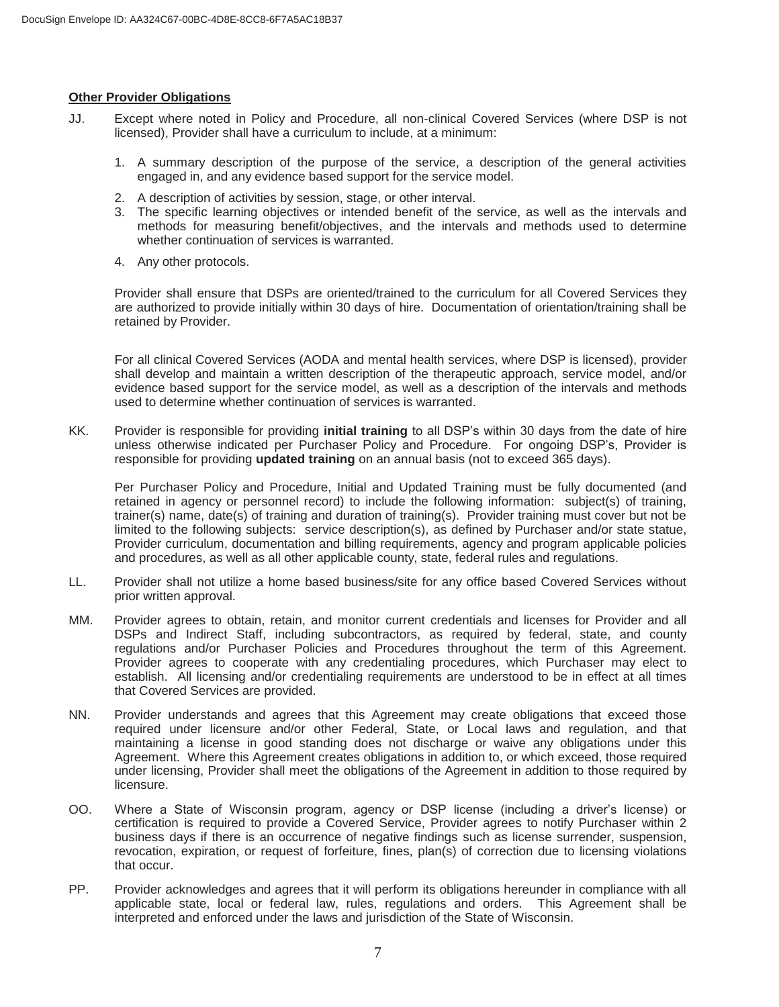#### **Other Provider Obligations**

- JJ. Except where noted in Policy and Procedure, all non-clinical Covered Services (where DSP is not licensed), Provider shall have a curriculum to include, at a minimum:
	- 1. A summary description of the purpose of the service, a description of the general activities engaged in, and any evidence based support for the service model.
	- 2. A description of activities by session, stage, or other interval.
	- 3. The specific learning objectives or intended benefit of the service, as well as the intervals and methods for measuring benefit/objectives, and the intervals and methods used to determine whether continuation of services is warranted.
	- 4. Any other protocols.

 Provider shall ensure that DSPs are oriented/trained to the curriculum for all Covered Services they are authorized to provide initially within 30 days of hire. Documentation of orientation/training shall be retained by Provider.

For all clinical Covered Services (AODA and mental health services, where DSP is licensed), provider shall develop and maintain a written description of the therapeutic approach, service model, and/or evidence based support for the service model, as well as a description of the intervals and methods used to determine whether continuation of services is warranted.

KK. Provider is responsible for providing **initial training** to all DSP's within 30 days from the date of hire unless otherwise indicated per Purchaser Policy and Procedure. For ongoing DSP's, Provider is responsible for providing **updated training** on an annual basis (not to exceed 365 days).

Per Purchaser Policy and Procedure, Initial and Updated Training must be fully documented (and retained in agency or personnel record) to include the following information: subject(s) of training, trainer(s) name, date(s) of training and duration of training(s). Provider training must cover but not be limited to the following subjects: service description(s), as defined by Purchaser and/or state statue, Provider curriculum, documentation and billing requirements, agency and program applicable policies and procedures, as well as all other applicable county, state, federal rules and regulations.

- LL. Provider shall not utilize a home based business/site for any office based Covered Services without prior written approval.
- MM. Provider agrees to obtain, retain, and monitor current credentials and licenses for Provider and all DSPs and Indirect Staff, including subcontractors, as required by federal, state, and county regulations and/or Purchaser Policies and Procedures throughout the term of this Agreement. Provider agrees to cooperate with any credentialing procedures, which Purchaser may elect to establish. All licensing and/or credentialing requirements are understood to be in effect at all times that Covered Services are provided.
- NN. Provider understands and agrees that this Agreement may create obligations that exceed those required under licensure and/or other Federal, State, or Local laws and regulation, and that maintaining a license in good standing does not discharge or waive any obligations under this Agreement. Where this Agreement creates obligations in addition to, or which exceed, those required under licensing, Provider shall meet the obligations of the Agreement in addition to those required by licensure.
- OO. Where a State of Wisconsin program, agency or DSP license (including a driver's license) or certification is required to provide a Covered Service, Provider agrees to notify Purchaser within 2 business days if there is an occurrence of negative findings such as license surrender, suspension, revocation, expiration, or request of forfeiture, fines, plan(s) of correction due to licensing violations that occur.
- PP. Provider acknowledges and agrees that it will perform its obligations hereunder in compliance with all applicable state, local or federal law, rules, regulations and orders. This Agreement shall be interpreted and enforced under the laws and jurisdiction of the State of Wisconsin.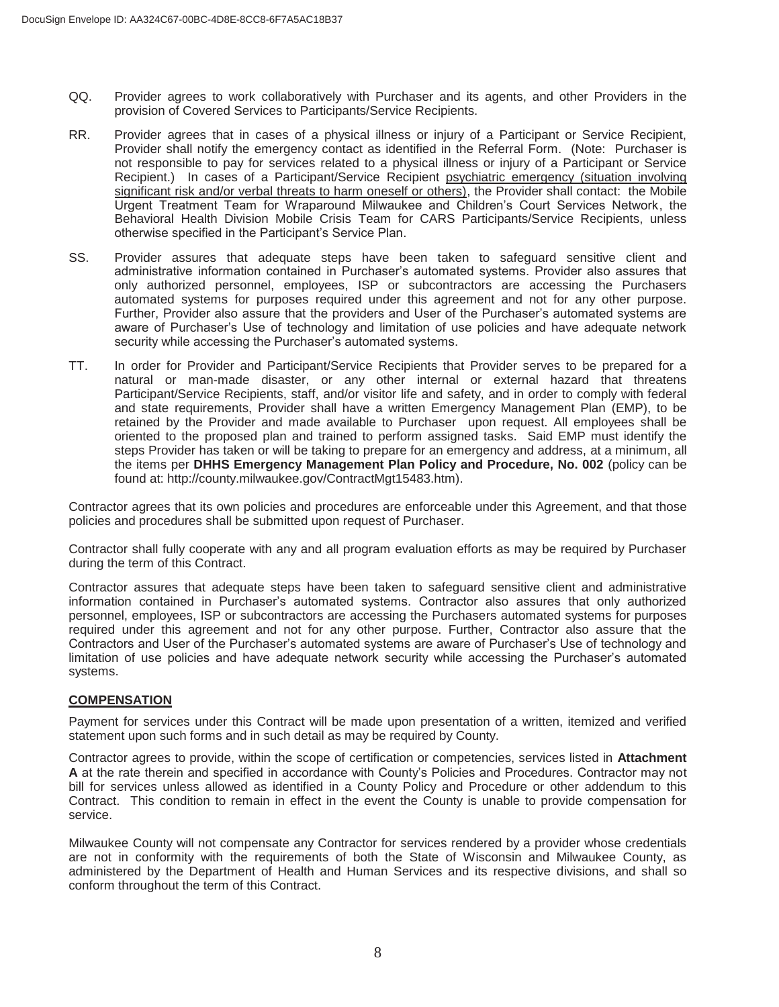- QQ. Provider agrees to work collaboratively with Purchaser and its agents, and other Providers in the provision of Covered Services to Participants/Service Recipients.
- RR. Provider agrees that in cases of a physical illness or injury of a Participant or Service Recipient, Provider shall notify the emergency contact as identified in the Referral Form. (Note: Purchaser is not responsible to pay for services related to a physical illness or injury of a Participant or Service Recipient.) In cases of a Participant/Service Recipient psychiatric emergency (situation involving significant risk and/or verbal threats to harm oneself or others), the Provider shall contact: the Mobile Urgent Treatment Team for Wraparound Milwaukee and Children's Court Services Network, the Behavioral Health Division Mobile Crisis Team for CARS Participants/Service Recipients, unless otherwise specified in the Participant's Service Plan.
- SS. Provider assures that adequate steps have been taken to safeguard sensitive client and administrative information contained in Purchaser's automated systems. Provider also assures that only authorized personnel, employees, ISP or subcontractors are accessing the Purchasers automated systems for purposes required under this agreement and not for any other purpose. Further, Provider also assure that the providers and User of the Purchaser's automated systems are aware of Purchaser's Use of technology and limitation of use policies and have adequate network security while accessing the Purchaser's automated systems.
- TT. In order for Provider and Participant/Service Recipients that Provider serves to be prepared for a natural or man-made disaster, or any other internal or external hazard that threatens Participant/Service Recipients, staff, and/or visitor life and safety, and in order to comply with federal and state requirements, Provider shall have a written Emergency Management Plan (EMP), to be retained by the Provider and made available to Purchaser upon request. All employees shall be oriented to the proposed plan and trained to perform assigned tasks. Said EMP must identify the steps Provider has taken or will be taking to prepare for an emergency and address, at a minimum, all the items per **DHHS Emergency Management Plan Policy and Procedure, No. 002** (policy can be found at: http://county.milwaukee.gov/ContractMgt15483.htm).

Contractor agrees that its own policies and procedures are enforceable under this Agreement, and that those policies and procedures shall be submitted upon request of Purchaser.

Contractor shall fully cooperate with any and all program evaluation efforts as may be required by Purchaser during the term of this Contract.

Contractor assures that adequate steps have been taken to safeguard sensitive client and administrative information contained in Purchaser's automated systems. Contractor also assures that only authorized personnel, employees, ISP or subcontractors are accessing the Purchasers automated systems for purposes required under this agreement and not for any other purpose. Further, Contractor also assure that the Contractors and User of the Purchaser's automated systems are aware of Purchaser's Use of technology and limitation of use policies and have adequate network security while accessing the Purchaser's automated systems.

### **COMPENSATION**

Payment for services under this Contract will be made upon presentation of a written, itemized and verified statement upon such forms and in such detail as may be required by County.

Contractor agrees to provide, within the scope of certification or competencies, services listed in **Attachment A** at the rate therein and specified in accordance with County's Policies and Procedures. Contractor may not bill for services unless allowed as identified in a County Policy and Procedure or other addendum to this Contract. This condition to remain in effect in the event the County is unable to provide compensation for service.

Milwaukee County will not compensate any Contractor for services rendered by a provider whose credentials are not in conformity with the requirements of both the State of Wisconsin and Milwaukee County, as administered by the Department of Health and Human Services and its respective divisions, and shall so conform throughout the term of this Contract.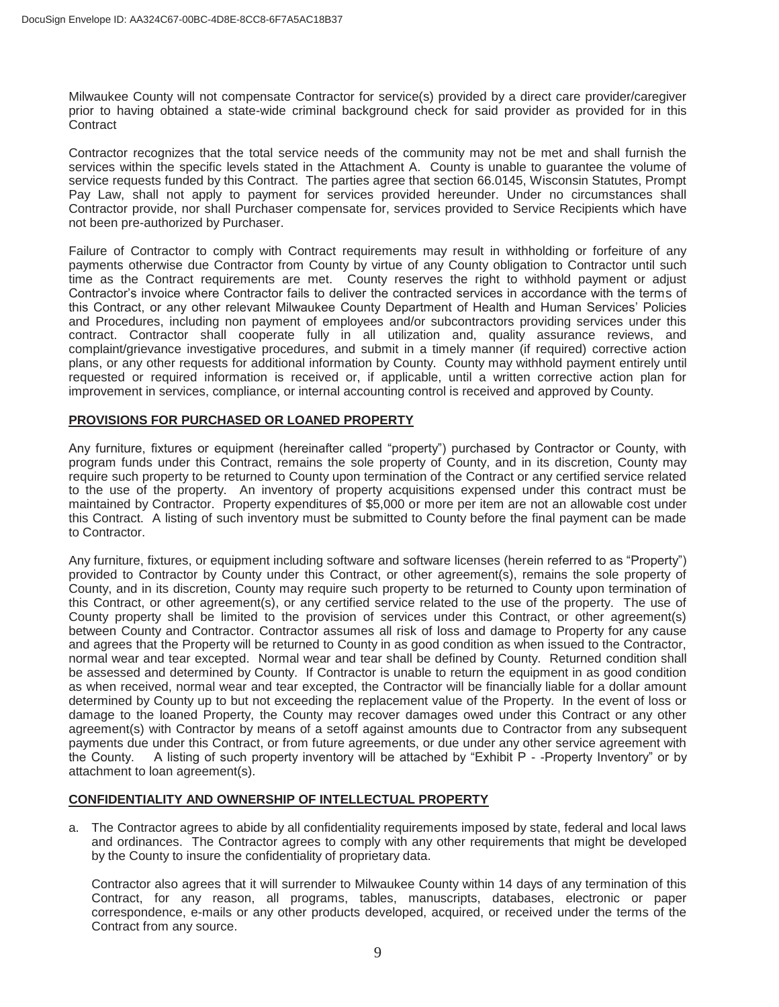Milwaukee County will not compensate Contractor for service(s) provided by a direct care provider/caregiver prior to having obtained a state-wide criminal background check for said provider as provided for in this **Contract** 

Contractor recognizes that the total service needs of the community may not be met and shall furnish the services within the specific levels stated in the Attachment A. County is unable to guarantee the volume of service requests funded by this Contract. The parties agree that section 66.0145, Wisconsin Statutes, Prompt Pay Law, shall not apply to payment for services provided hereunder. Under no circumstances shall Contractor provide, nor shall Purchaser compensate for, services provided to Service Recipients which have not been pre-authorized by Purchaser.

Failure of Contractor to comply with Contract requirements may result in withholding or forfeiture of any payments otherwise due Contractor from County by virtue of any County obligation to Contractor until such time as the Contract requirements are met. County reserves the right to withhold payment or adjust Contractor's invoice where Contractor fails to deliver the contracted services in accordance with the terms of this Contract, or any other relevant Milwaukee County Department of Health and Human Services' Policies and Procedures, including non payment of employees and/or subcontractors providing services under this contract. Contractor shall cooperate fully in all utilization and, quality assurance reviews, and complaint/grievance investigative procedures, and submit in a timely manner (if required) corrective action plans, or any other requests for additional information by County. County may withhold payment entirely until requested or required information is received or, if applicable, until a written corrective action plan for improvement in services, compliance, or internal accounting control is received and approved by County.

### **PROVISIONS FOR PURCHASED OR LOANED PROPERTY**

Any furniture, fixtures or equipment (hereinafter called "property") purchased by Contractor or County, with program funds under this Contract, remains the sole property of County, and in its discretion, County may require such property to be returned to County upon termination of the Contract or any certified service related to the use of the property. An inventory of property acquisitions expensed under this contract must be maintained by Contractor. Property expenditures of \$5,000 or more per item are not an allowable cost under this Contract. A listing of such inventory must be submitted to County before the final payment can be made to Contractor.

Any furniture, fixtures, or equipment including software and software licenses (herein referred to as "Property") provided to Contractor by County under this Contract, or other agreement(s), remains the sole property of County, and in its discretion, County may require such property to be returned to County upon termination of this Contract, or other agreement(s), or any certified service related to the use of the property. The use of County property shall be limited to the provision of services under this Contract, or other agreement(s) between County and Contractor. Contractor assumes all risk of loss and damage to Property for any cause and agrees that the Property will be returned to County in as good condition as when issued to the Contractor, normal wear and tear excepted. Normal wear and tear shall be defined by County. Returned condition shall be assessed and determined by County. If Contractor is unable to return the equipment in as good condition as when received, normal wear and tear excepted, the Contractor will be financially liable for a dollar amount determined by County up to but not exceeding the replacement value of the Property. In the event of loss or damage to the loaned Property, the County may recover damages owed under this Contract or any other agreement(s) with Contractor by means of a setoff against amounts due to Contractor from any subsequent payments due under this Contract, or from future agreements, or due under any other service agreement with the County. A listing of such property inventory will be attached by "Exhibit P - -Property Inventory" or by attachment to loan agreement(s).

### **CONFIDENTIALITY AND OWNERSHIP OF INTELLECTUAL PROPERTY**

a. The Contractor agrees to abide by all confidentiality requirements imposed by state, federal and local laws and ordinances. The Contractor agrees to comply with any other requirements that might be developed by the County to insure the confidentiality of proprietary data.

Contractor also agrees that it will surrender to Milwaukee County within 14 days of any termination of this Contract, for any reason, all programs, tables, manuscripts, databases, electronic or paper correspondence, e-mails or any other products developed, acquired, or received under the terms of the Contract from any source.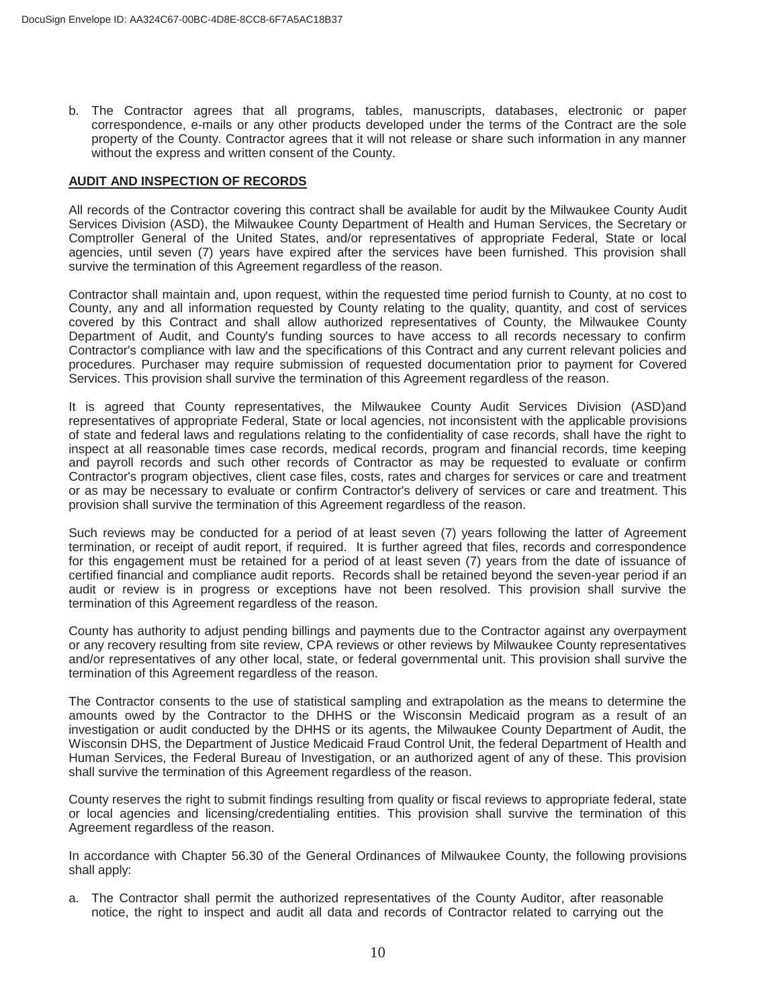b. The Contractor agrees that all programs, tables, manuscripts, databases, electronic or paper correspondence, e-mails or any other products developed under the terms of the Contract are the sole property of the County. Contractor agrees that it will not release or share such information in any manner without the express and written consent of the County.

#### **AUDIT AND INSPECTION OF RECORDS**

All records of the Contractor covering this contract shall be available for audit by the Milwaukee County Audit Services Division (ASD), the Milwaukee County Department of Health and Human Services, the Secretary or Comptroller General of the United States, and/or representatives of appropriate Federal, State or local agencies, until seven (7) years have expired after the services have been furnished. This provision shall survive the termination of this Agreement regardless of the reason.

Contractor shall maintain and, upon request, within the requested time period furnish to County, at no cost to County, any and all information requested by County relating to the quality, quantity, and cost of services covered by this Contract and shall allow authorized representatives of County, the Milwaukee County Department of Audit, and County's funding sources to have access to all records necessary to confirm Contractor's compliance with law and the specifications of this Contract and any current relevant policies and procedures. Purchaser may require submission of requested documentation prior to payment for Covered Services. This provision shall survive the termination of this Agreement regardless of the reason.

It is agreed that County representatives, the Milwaukee County Audit Services Division (ASD)and representatives of appropriate Federal, State or local agencies, not inconsistent with the applicable provisions of state and federal laws and regulations relating to the confidentiality of case records, shall have the right to inspect at all reasonable times case records, medical records, program and financial records, time keeping and payroll records and such other records of Contractor as may be requested to evaluate or confirm Contractor's program objectives, client case files, costs, rates and charges for services or care and treatment or as may be necessary to evaluate or confirm Contractor's delivery of services or care and treatment. This provision shall survive the termination of this Agreement regardless of the reason.

Such reviews may be conducted for a period of at least seven (7) years following the latter of Agreement termination, or receipt of audit report, if required. It is further agreed that files, records and correspondence for this engagement must be retained for a period of at least seven (7) years from the date of issuance of certified financial and compliance audit reports. Records shall be retained beyond the seven-year period if an audit or review is in progress or exceptions have not been resolved. This provision shall survive the termination of this Agreement regardless of the reason.

County has authority to adjust pending billings and payments due to the Contractor against any overpayment or any recovery resulting from site review, CPA reviews or other reviews by Milwaukee County representatives and/or representatives of any other local, state, or federal governmental unit. This provision shall survive the termination of this Agreement regardless of the reason.

The Contractor consents to the use of statistical sampling and extrapolation as the means to determine the amounts owed by the Contractor to the DHHS or the Wisconsin Medicaid program as a result of an investigation or audit conducted by the DHHS or its agents, the Milwaukee County Department of Audit, the Wisconsin DHS, the Department of Justice Medicaid Fraud Control Unit, the federal Department of Health and Human Services, the Federal Bureau of Investigation, or an authorized agent of any of these. This provision shall survive the termination of this Agreement regardless of the reason.

County reserves the right to submit findings resulting from quality or fiscal reviews to appropriate federal, state or local agencies and licensing/credentialing entities. This provision shall survive the termination of this Agreement regardless of the reason.

In accordance with Chapter 56.30 of the General Ordinances of Milwaukee County, the following provisions shall apply:

a. The Contractor shall permit the authorized representatives of the County Auditor, after reasonable notice, the right to inspect and audit all data and records of Contractor related to carrying out the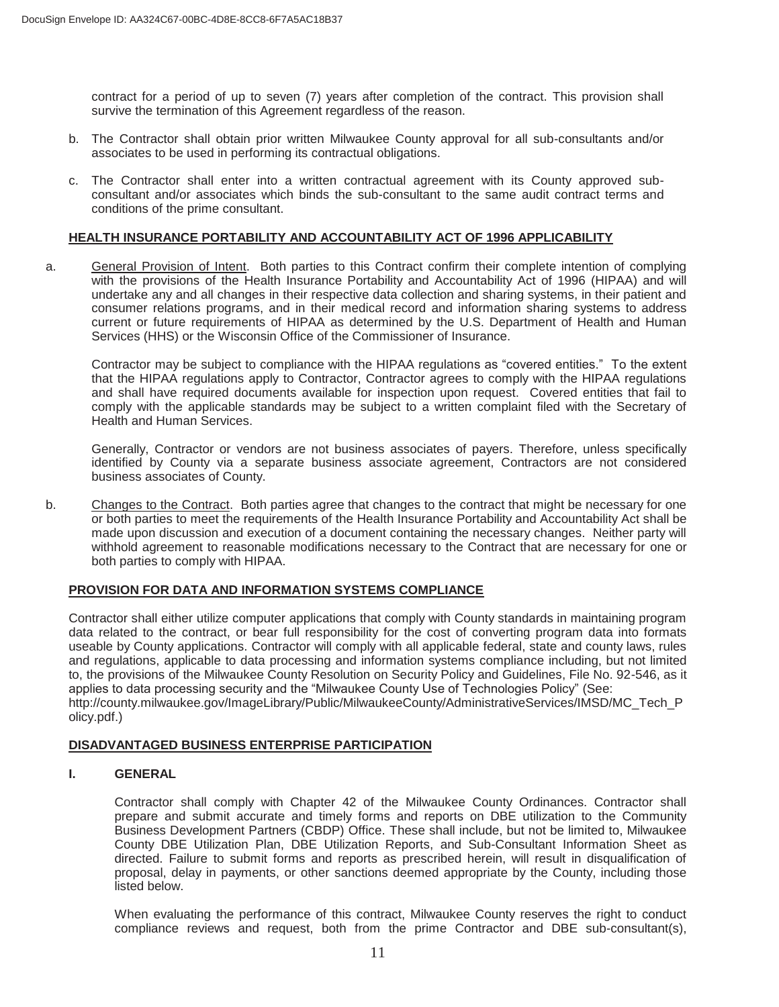contract for a period of up to seven (7) years after completion of the contract. This provision shall survive the termination of this Agreement regardless of the reason.

- b. The Contractor shall obtain prior written Milwaukee County approval for all sub-consultants and/or associates to be used in performing its contractual obligations.
- c. The Contractor shall enter into a written contractual agreement with its County approved subconsultant and/or associates which binds the sub-consultant to the same audit contract terms and conditions of the prime consultant.

#### **HEALTH INSURANCE PORTABILITY AND ACCOUNTABILITY ACT OF 1996 APPLICABILITY**

a. General Provision of Intent. Both parties to this Contract confirm their complete intention of complying with the provisions of the Health Insurance Portability and Accountability Act of 1996 (HIPAA) and will undertake any and all changes in their respective data collection and sharing systems, in their patient and consumer relations programs, and in their medical record and information sharing systems to address current or future requirements of HIPAA as determined by the U.S. Department of Health and Human Services (HHS) or the Wisconsin Office of the Commissioner of Insurance.

Contractor may be subject to compliance with the HIPAA regulations as "covered entities." To the extent that the HIPAA regulations apply to Contractor, Contractor agrees to comply with the HIPAA regulations and shall have required documents available for inspection upon request. Covered entities that fail to comply with the applicable standards may be subject to a written complaint filed with the Secretary of Health and Human Services.

Generally, Contractor or vendors are not business associates of payers. Therefore, unless specifically identified by County via a separate business associate agreement, Contractors are not considered business associates of County.

b. Changes to the Contract. Both parties agree that changes to the contract that might be necessary for one or both parties to meet the requirements of the Health Insurance Portability and Accountability Act shall be made upon discussion and execution of a document containing the necessary changes. Neither party will withhold agreement to reasonable modifications necessary to the Contract that are necessary for one or both parties to comply with HIPAA.

#### **PROVISION FOR DATA AND INFORMATION SYSTEMS COMPLIANCE**

Contractor shall either utilize computer applications that comply with County standards in maintaining program data related to the contract, or bear full responsibility for the cost of converting program data into formats useable by County applications. Contractor will comply with all applicable federal, state and county laws, rules and regulations, applicable to data processing and information systems compliance including, but not limited to, the provisions of the Milwaukee County Resolution on Security Policy and Guidelines, File No. 92-546, as it applies to data processing security and the "Milwaukee County Use of Technologies Policy" (See: http://county.milwaukee.gov/ImageLibrary/Public/MilwaukeeCounty/AdministrativeServices/IMSD/MC\_Tech\_P olicy.pdf.)

#### **DISADVANTAGED BUSINESS ENTERPRISE PARTICIPATION**

#### **I. GENERAL**

Contractor shall comply with Chapter 42 of the Milwaukee County Ordinances. Contractor shall prepare and submit accurate and timely forms and reports on DBE utilization to the Community Business Development Partners (CBDP) Office. These shall include, but not be limited to, Milwaukee County DBE Utilization Plan, DBE Utilization Reports, and Sub-Consultant Information Sheet as directed. Failure to submit forms and reports as prescribed herein, will result in disqualification of proposal, delay in payments, or other sanctions deemed appropriate by the County, including those listed below.

When evaluating the performance of this contract, Milwaukee County reserves the right to conduct compliance reviews and request, both from the prime Contractor and DBE sub-consultant(s),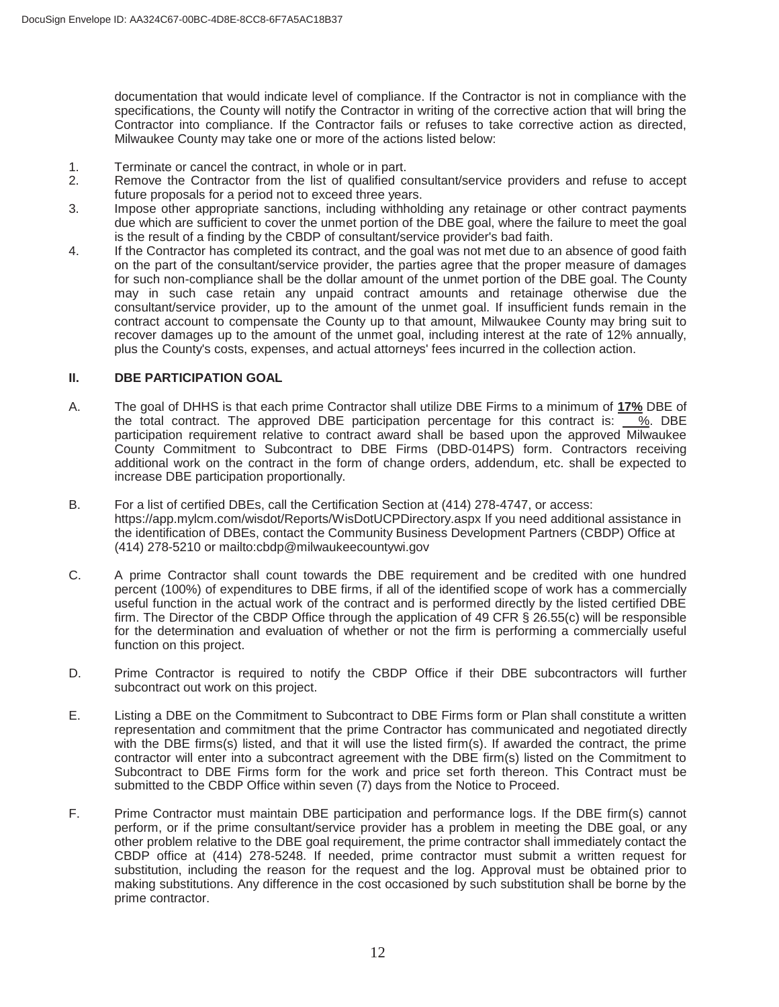documentation that would indicate level of compliance. If the Contractor is not in compliance with the specifications, the County will notify the Contractor in writing of the corrective action that will bring the Contractor into compliance. If the Contractor fails or refuses to take corrective action as directed, Milwaukee County may take one or more of the actions listed below:

- 1. Terminate or cancel the contract, in whole or in part.<br>2. Remove the Contractor from the list of qualified co
- Remove the Contractor from the list of qualified consultant/service providers and refuse to accept future proposals for a period not to exceed three years.
- 3. Impose other appropriate sanctions, including withholding any retainage or other contract payments due which are sufficient to cover the unmet portion of the DBE goal, where the failure to meet the goal is the result of a finding by the CBDP of consultant/service provider's bad faith.
- 4. If the Contractor has completed its contract, and the goal was not met due to an absence of good faith on the part of the consultant/service provider, the parties agree that the proper measure of damages for such non-compliance shall be the dollar amount of the unmet portion of the DBE goal. The County may in such case retain any unpaid contract amounts and retainage otherwise due the consultant/service provider, up to the amount of the unmet goal. If insufficient funds remain in the contract account to compensate the County up to that amount, Milwaukee County may bring suit to recover damages up to the amount of the unmet goal, including interest at the rate of 12% annually, plus the County's costs, expenses, and actual attorneys' fees incurred in the collection action.

#### **II. DBE PARTICIPATION GOAL**

- A. The goal of DHHS is that each prime Contractor shall utilize DBE Firms to a minimum of **17%** DBE of the total contract. The approved DBE participation percentage for this contract is:  $\overline{\phantom{a}}\%$ . DBE participation requirement relative to contract award shall be based upon the approved Milwaukee County Commitment to Subcontract to DBE Firms (DBD-014PS) form. Contractors receiving additional work on the contract in the form of change orders, addendum, etc. shall be expected to increase DBE participation proportionally.
- B. For a list of certified DBEs, call the Certification Section at (414) 278-4747, or access: https://app.mylcm.com/wisdot/Reports/WisDotUCPDirectory.aspx If you need additional assistance in the identification of DBEs, contact the Community Business Development Partners (CBDP) Office at (414) 278-5210 or mailto:cbdp@milwaukeecountywi.gov
- C. A prime Contractor shall count towards the DBE requirement and be credited with one hundred percent (100%) of expenditures to DBE firms, if all of the identified scope of work has a commercially useful function in the actual work of the contract and is performed directly by the listed certified DBE firm. The Director of the CBDP Office through the application of 49 CFR § 26.55(c) will be responsible for the determination and evaluation of whether or not the firm is performing a commercially useful function on this project.
- D. Prime Contractor is required to notify the CBDP Office if their DBE subcontractors will further subcontract out work on this project.
- E. Listing a DBE on the Commitment to Subcontract to DBE Firms form or Plan shall constitute a written representation and commitment that the prime Contractor has communicated and negotiated directly with the DBE firms(s) listed, and that it will use the listed firm(s). If awarded the contract, the prime contractor will enter into a subcontract agreement with the DBE firm(s) listed on the Commitment to Subcontract to DBE Firms form for the work and price set forth thereon. This Contract must be submitted to the CBDP Office within seven (7) days from the Notice to Proceed.
- F. Prime Contractor must maintain DBE participation and performance logs. If the DBE firm(s) cannot perform, or if the prime consultant/service provider has a problem in meeting the DBE goal, or any other problem relative to the DBE goal requirement, the prime contractor shall immediately contact the CBDP office at (414) 278-5248. If needed, prime contractor must submit a written request for substitution, including the reason for the request and the log. Approval must be obtained prior to making substitutions. Any difference in the cost occasioned by such substitution shall be borne by the prime contractor.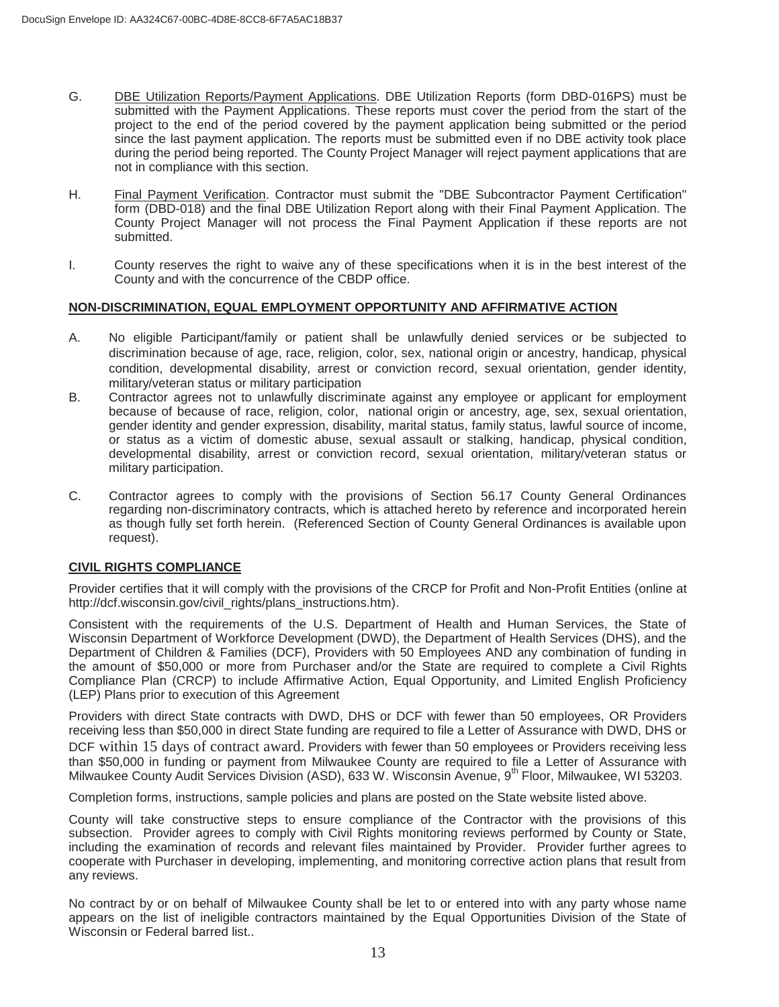- G. DBE Utilization Reports/Payment Applications. DBE Utilization Reports (form DBD-016PS) must be submitted with the Payment Applications. These reports must cover the period from the start of the project to the end of the period covered by the payment application being submitted or the period since the last payment application. The reports must be submitted even if no DBE activity took place during the period being reported. The County Project Manager will reject payment applications that are not in compliance with this section.
- H. Final Payment Verification. Contractor must submit the "DBE Subcontractor Payment Certification" form (DBD-018) and the final DBE Utilization Report along with their Final Payment Application. The County Project Manager will not process the Final Payment Application if these reports are not submitted.
- I. County reserves the right to waive any of these specifications when it is in the best interest of the County and with the concurrence of the CBDP office.

#### **NON-DISCRIMINATION, EQUAL EMPLOYMENT OPPORTUNITY AND AFFIRMATIVE ACTION**

- A. No eligible Participant/family or patient shall be unlawfully denied services or be subjected to discrimination because of age, race, religion, color, sex, national origin or ancestry, handicap, physical condition, developmental disability, arrest or conviction record, sexual orientation, gender identity, military/veteran status or military participation
- B. Contractor agrees not to unlawfully discriminate against any employee or applicant for employment because of because of race, religion, color, national origin or ancestry, age, sex, sexual orientation, gender identity and gender expression, disability, marital status, family status, lawful source of income, or status as a victim of domestic abuse, sexual assault or stalking, handicap, physical condition, developmental disability, arrest or conviction record, sexual orientation, military/veteran status or military participation.
- C. Contractor agrees to comply with the provisions of Section 56.17 County General Ordinances regarding non-discriminatory contracts, which is attached hereto by reference and incorporated herein as though fully set forth herein. (Referenced Section of County General Ordinances is available upon request).

#### **CIVIL RIGHTS COMPLIANCE**

Provider certifies that it will comply with the provisions of the CRCP for Profit and Non-Profit Entities (online at http://dcf.wisconsin.gov/civil\_rights/plans\_instructions.htm).

Consistent with the requirements of the U.S. Department of Health and Human Services, the State of Wisconsin Department of Workforce Development (DWD), the Department of Health Services (DHS), and the Department of Children & Families (DCF), Providers with 50 Employees AND any combination of funding in the amount of \$50,000 or more from Purchaser and/or the State are required to complete a Civil Rights Compliance Plan (CRCP) to include Affirmative Action, Equal Opportunity, and Limited English Proficiency (LEP) Plans prior to execution of this Agreement

Providers with direct State contracts with DWD, DHS or DCF with fewer than 50 employees, OR Providers receiving less than \$50,000 in direct State funding are required to file a Letter of Assurance with DWD, DHS or DCF within 15 days of contract award. Providers with fewer than 50 employees or Providers receiving less than \$50,000 in funding or payment from Milwaukee County are required to file a Letter of Assurance with Milwaukee County Audit Services Division (ASD), 633 W. Wisconsin Avenue, 9<sup>th</sup> Floor, Milwaukee, WI 53203.

Completion forms, instructions, sample policies and plans are posted on the State website listed above.

County will take constructive steps to ensure compliance of the Contractor with the provisions of this subsection. Provider agrees to comply with Civil Rights monitoring reviews performed by County or State, including the examination of records and relevant files maintained by Provider. Provider further agrees to cooperate with Purchaser in developing, implementing, and monitoring corrective action plans that result from any reviews.

No contract by or on behalf of Milwaukee County shall be let to or entered into with any party whose name appears on the list of ineligible contractors maintained by the Equal Opportunities Division of the State of Wisconsin or Federal barred list..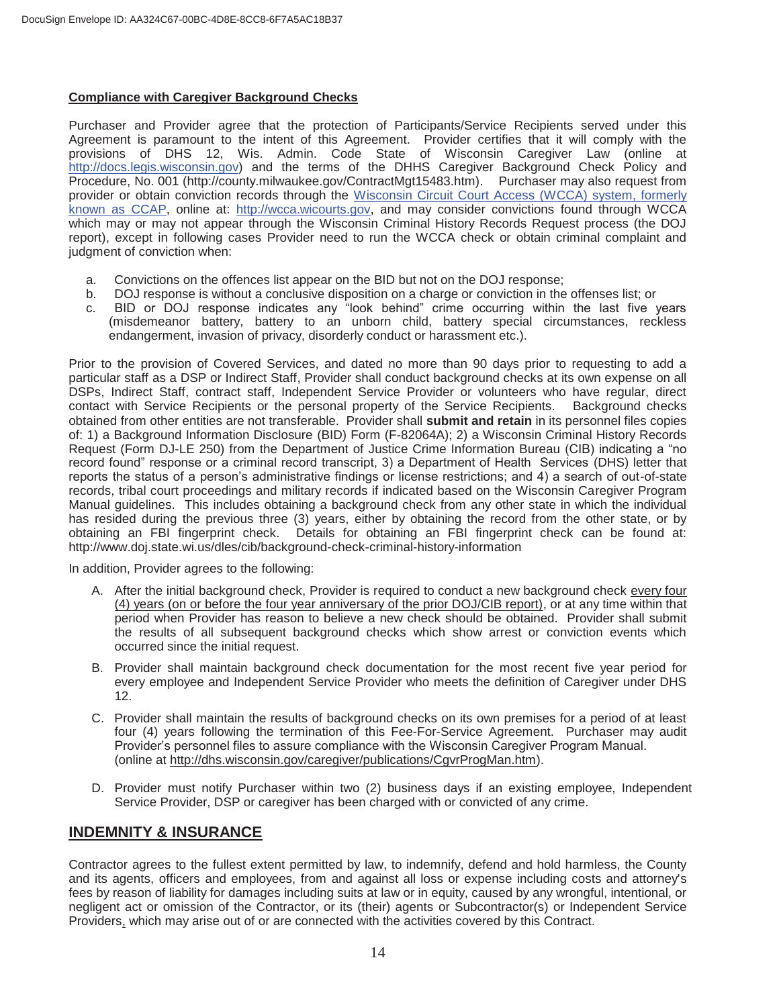#### **Compliance with Caregiver Background Checks**

Purchaser and Provider agree that the protection of Participants/Service Recipients served under this Agreement is paramount to the intent of this Agreement. Provider certifies that it will comply with the provisions of DHS 12, Wis. Admin. Code State of Wisconsin Caregiver Law (online at http://docs.legis.wisconsin.gov) and the terms of the DHHS Caregiver Background Check Policy and Procedure, No. 001 (http://county.milwaukee.gov/ContractMgt15483.htm). Purchaser may also request from provider or obtain conviction records through the Wisconsin Circuit Court Access (WCCA) system, formerly known as CCAP, online at: http://wcca.wicourts.gov, and may consider convictions found through WCCA which may or may not appear through the Wisconsin Criminal History Records Request process (the DOJ report), except in following cases Provider need to run the WCCA check or obtain criminal complaint and judgment of conviction when:

- a. Convictions on the offences list appear on the BID but not on the DOJ response;
- b. DOJ response is without a conclusive disposition on a charge or conviction in the offenses list; or
- c. BID or DOJ response indicates any "look behind" crime occurring within the last five years (misdemeanor battery, battery to an unborn child, battery special circumstances, reckless endangerment, invasion of privacy, disorderly conduct or harassment etc.).

Prior to the provision of Covered Services, and dated no more than 90 days prior to requesting to add a particular staff as a DSP or Indirect Staff, Provider shall conduct background checks at its own expense on all DSPs, Indirect Staff, contract staff, Independent Service Provider or volunteers who have regular, direct contact with Service Recipients or the personal property of the Service Recipients. Background checks obtained from other entities are not transferable. Provider shall **submit and retain** in its personnel files copies of: 1) a Background Information Disclosure (BID) Form (F-82064A); 2) a Wisconsin Criminal History Records Request (Form DJ-LE 250) from the Department of Justice Crime Information Bureau (CIB) indicating a "no record found" response or a criminal record transcript, 3) a Department of Health Services (DHS) letter that reports the status of a person's administrative findings or license restrictions; and 4) a search of out-of-state records, tribal court proceedings and military records if indicated based on the Wisconsin Caregiver Program Manual guidelines. This includes obtaining a background check from any other state in which the individual has resided during the previous three (3) years, either by obtaining the record from the other state, or by obtaining an FBI fingerprint check. Details for obtaining an FBI fingerprint check can be found at: http://www.doj.state.wi.us/dles/cib/background-check-criminal-history-information

In addition, Provider agrees to the following:

- A. After the initial background check, Provider is required to conduct a new background check every four (4) years (on or before the four year anniversary of the prior DOJ/CIB report), or at any time within that period when Provider has reason to believe a new check should be obtained. Provider shall submit the results of all subsequent background checks which show arrest or conviction events which occurred since the initial request.
- B. Provider shall maintain background check documentation for the most recent five year period for every employee and Independent Service Provider who meets the definition of Caregiver under DHS 12.
- C. Provider shall maintain the results of background checks on its own premises for a period of at least four (4) years following the termination of this Fee-For-Service Agreement. Purchaser may audit Provider's personnel files to assure compliance with the Wisconsin Caregiver Program Manual. (online at http://dhs.wisconsin.gov/caregiver/publications/CgvrProgMan.htm).
- D. Provider must notify Purchaser within two (2) business days if an existing employee, Independent Service Provider, DSP or caregiver has been charged with or convicted of any crime.

# **INDEMNITY & INSURANCE**

Contractor agrees to the fullest extent permitted by law, to indemnify, defend and hold harmless, the County and its agents, officers and employees, from and against all loss or expense including costs and attorney's fees by reason of liability for damages including suits at law or in equity, caused by any wrongful, intentional, or negligent act or omission of the Contractor, or its (their) agents or Subcontractor(s) or Independent Service Providers, which may arise out of or are connected with the activities covered by this Contract.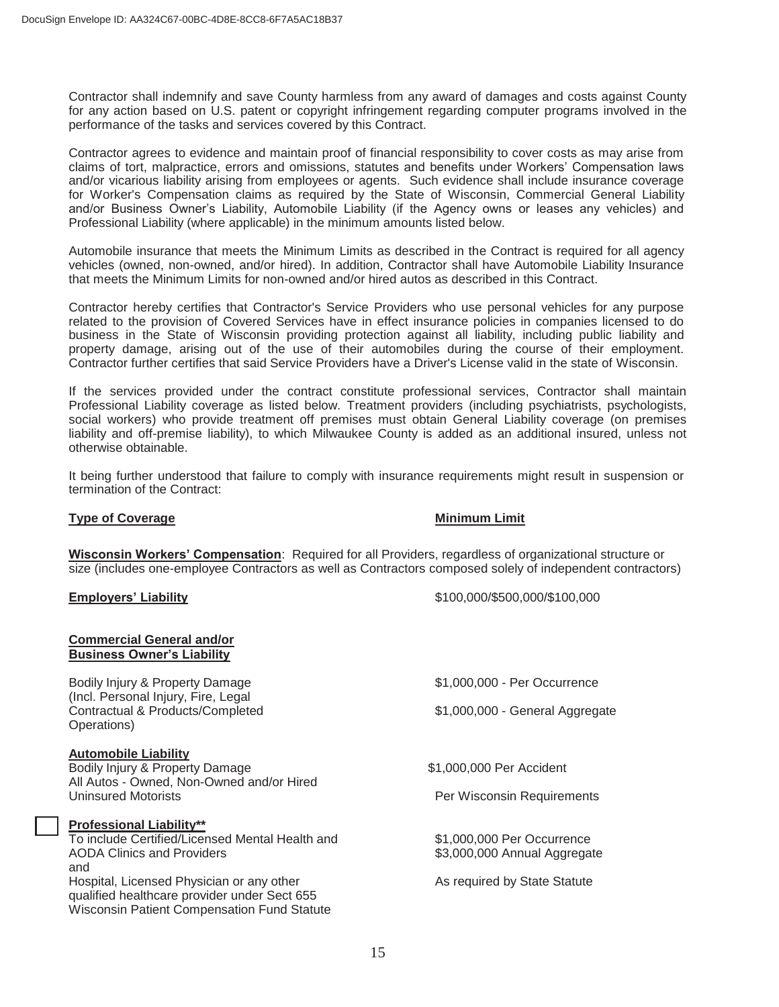Contractor shall indemnify and save County harmless from any award of damages and costs against County for any action based on U.S. patent or copyright infringement regarding computer programs involved in the performance of the tasks and services covered by this Contract.

Contractor agrees to evidence and maintain proof of financial responsibility to cover costs as may arise from claims of tort, malpractice, errors and omissions, statutes and benefits under Workers' Compensation laws and/or vicarious liability arising from employees or agents. Such evidence shall include insurance coverage for Worker's Compensation claims as required by the State of Wisconsin, Commercial General Liability and/or Business Owner's Liability, Automobile Liability (if the Agency owns or leases any vehicles) and Professional Liability (where applicable) in the minimum amounts listed below.

Automobile insurance that meets the Minimum Limits as described in the Contract is required for all agency vehicles (owned, non-owned, and/or hired). In addition, Contractor shall have Automobile Liability Insurance that meets the Minimum Limits for non-owned and/or hired autos as described in this Contract.

Contractor hereby certifies that Contractor's Service Providers who use personal vehicles for any purpose related to the provision of Covered Services have in effect insurance policies in companies licensed to do business in the State of Wisconsin providing protection against all liability, including public liability and property damage, arising out of the use of their automobiles during the course of their employment. Contractor further certifies that said Service Providers have a Driver's License valid in the state of Wisconsin.

If the services provided under the contract constitute professional services, Contractor shall maintain Professional Liability coverage as listed below. Treatment providers (including psychiatrists, psychologists, social workers) who provide treatment off premises must obtain General Liability coverage (on premises liability and off-premise liability), to which Milwaukee County is added as an additional insured, unless not otherwise obtainable.

It being further understood that failure to comply with insurance requirements might result in suspension or termination of the Contract:

#### **Type of Coverage Coverage Coverage Coverage Coverage Coverage Coverage Coverage Coverage Coverage Coverage Coverage Coverage Coverage Coverage Coverage Coverage Coverage Coverage Coverage Coverage Coverage Coverage Covera**

**Wisconsin Workers' Compensation**: Required for all Providers, regardless of organizational structure or size (includes one-employee Contractors as well as Contractors composed solely of independent contractors)

**Commercial General and/or** 

**Employers' Liability** \$100,000/\$500,000/\$100,000

| <b>Business Owner's Liability</b>                                                                                                               |                                 |  |  |
|-------------------------------------------------------------------------------------------------------------------------------------------------|---------------------------------|--|--|
| Bodily Injury & Property Damage<br>(Incl. Personal Injury, Fire, Legal                                                                          | \$1,000,000 - Per Occurrence    |  |  |
| Contractual & Products/Completed<br>Operations)                                                                                                 | \$1,000,000 - General Aggregate |  |  |
| <b>Automobile Liability</b>                                                                                                                     |                                 |  |  |
| Bodily Injury & Property Damage                                                                                                                 | \$1,000,000 Per Accident        |  |  |
| All Autos - Owned, Non-Owned and/or Hired<br><b>Uninsured Motorists</b>                                                                         | Per Wisconsin Requirements      |  |  |
| <b>Professional Liability**</b>                                                                                                                 |                                 |  |  |
| To include Certified/Licensed Mental Health and                                                                                                 | \$1,000,000 Per Occurrence      |  |  |
| <b>AODA Clinics and Providers</b>                                                                                                               | \$3,000,000 Annual Aggregate    |  |  |
| and                                                                                                                                             |                                 |  |  |
| Hospital, Licensed Physician or any other<br>qualified healthcare provider under Sect 655<br><b>Wisconsin Patient Compensation Fund Statute</b> | As required by State Statute    |  |  |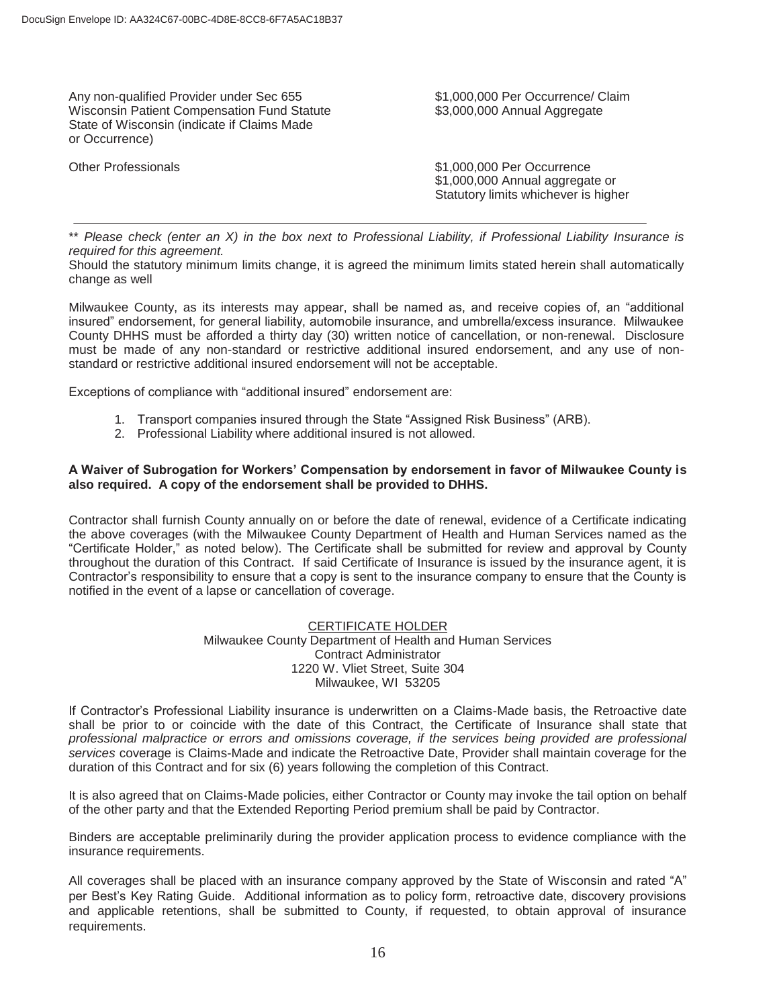Any non-qualified Provider under Sec 655 \$1,000,000 Per Occurrence/ Claim Wisconsin Patient Compensation Fund Statute  $$3,000,000$  Annual Aggregate State of Wisconsin (indicate if Claims Made or Occurrence)

Other Professionals **61,000,000 Per Occurrence** \$1,000,000 Annual aggregate or Statutory limits whichever is higher

\*\* *Please check (enter an X) in the box next to Professional Liability, if Professional Liability Insurance is required for this agreement.* 

Should the statutory minimum limits change, it is agreed the minimum limits stated herein shall automatically change as well

Milwaukee County, as its interests may appear, shall be named as, and receive copies of, an "additional insured" endorsement, for general liability, automobile insurance, and umbrella/excess insurance. Milwaukee County DHHS must be afforded a thirty day (30) written notice of cancellation, or non-renewal. Disclosure must be made of any non-standard or restrictive additional insured endorsement, and any use of nonstandard or restrictive additional insured endorsement will not be acceptable.

Exceptions of compliance with "additional insured" endorsement are:

- 1. Transport companies insured through the State "Assigned Risk Business" (ARB).
- 2. Professional Liability where additional insured is not allowed.

#### **A Waiver of Subrogation for Workers' Compensation by endorsement in favor of Milwaukee County is also required. A copy of the endorsement shall be provided to DHHS.**

Contractor shall furnish County annually on or before the date of renewal, evidence of a Certificate indicating the above coverages (with the Milwaukee County Department of Health and Human Services named as the "Certificate Holder," as noted below). The Certificate shall be submitted for review and approval by County throughout the duration of this Contract. If said Certificate of Insurance is issued by the insurance agent, it is Contractor's responsibility to ensure that a copy is sent to the insurance company to ensure that the County is notified in the event of a lapse or cancellation of coverage.

#### CERTIFICATE HOLDER

Milwaukee County Department of Health and Human Services Contract Administrator 1220 W. Vliet Street, Suite 304 Milwaukee, WI 53205

If Contractor's Professional Liability insurance is underwritten on a Claims-Made basis, the Retroactive date shall be prior to or coincide with the date of this Contract, the Certificate of Insurance shall state that *professional malpractice or errors and omissions coverage, if the services being provided are professional services* coverage is Claims-Made and indicate the Retroactive Date, Provider shall maintain coverage for the duration of this Contract and for six (6) years following the completion of this Contract.

It is also agreed that on Claims-Made policies, either Contractor or County may invoke the tail option on behalf of the other party and that the Extended Reporting Period premium shall be paid by Contractor.

Binders are acceptable preliminarily during the provider application process to evidence compliance with the insurance requirements.

All coverages shall be placed with an insurance company approved by the State of Wisconsin and rated "A" per Best's Key Rating Guide. Additional information as to policy form, retroactive date, discovery provisions and applicable retentions, shall be submitted to County, if requested, to obtain approval of insurance requirements.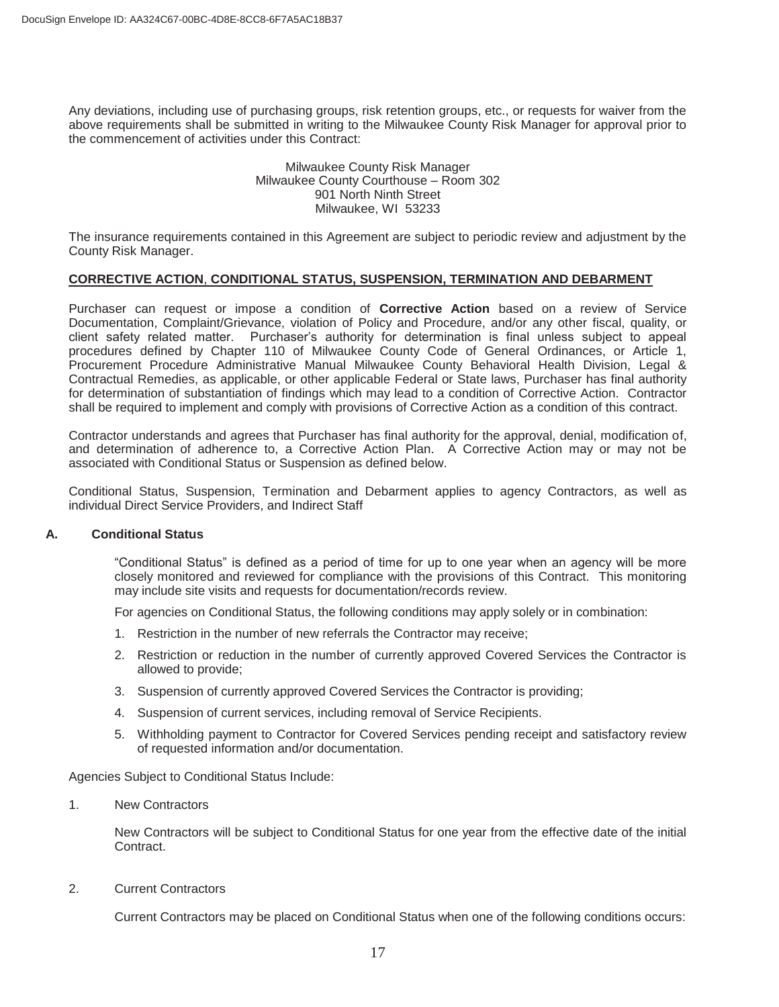Any deviations, including use of purchasing groups, risk retention groups, etc., or requests for waiver from the above requirements shall be submitted in writing to the Milwaukee County Risk Manager for approval prior to the commencement of activities under this Contract:

#### Milwaukee County Risk Manager Milwaukee County Courthouse – Room 302 901 North Ninth Street Milwaukee, WI 53233

The insurance requirements contained in this Agreement are subject to periodic review and adjustment by the County Risk Manager.

#### **CORRECTIVE ACTION**, **CONDITIONAL STATUS, SUSPENSION, TERMINATION AND DEBARMENT**

Purchaser can request or impose a condition of **Corrective Action** based on a review of Service Documentation, Complaint/Grievance, violation of Policy and Procedure, and/or any other fiscal, quality, or client safety related matter. Purchaser's authority for determination is final unless subject to appeal procedures defined by Chapter 110 of Milwaukee County Code of General Ordinances, or Article 1, Procurement Procedure Administrative Manual Milwaukee County Behavioral Health Division, Legal & Contractual Remedies, as applicable, or other applicable Federal or State laws, Purchaser has final authority for determination of substantiation of findings which may lead to a condition of Corrective Action. Contractor shall be required to implement and comply with provisions of Corrective Action as a condition of this contract.

Contractor understands and agrees that Purchaser has final authority for the approval, denial, modification of, and determination of adherence to, a Corrective Action Plan. A Corrective Action may or may not be associated with Conditional Status or Suspension as defined below.

Conditional Status, Suspension, Termination and Debarment applies to agency Contractors, as well as individual Direct Service Providers, and Indirect Staff

#### **A. Conditional Status**

"Conditional Status" is defined as a period of time for up to one year when an agency will be more closely monitored and reviewed for compliance with the provisions of this Contract. This monitoring may include site visits and requests for documentation/records review.

For agencies on Conditional Status, the following conditions may apply solely or in combination:

- 1. Restriction in the number of new referrals the Contractor may receive;
- 2. Restriction or reduction in the number of currently approved Covered Services the Contractor is allowed to provide;
- 3. Suspension of currently approved Covered Services the Contractor is providing;
- 4. Suspension of current services, including removal of Service Recipients.
- 5. Withholding payment to Contractor for Covered Services pending receipt and satisfactory review of requested information and/or documentation.

Agencies Subject to Conditional Status Include:

1. New Contractors

New Contractors will be subject to Conditional Status for one year from the effective date of the initial Contract.

2. Current Contractors

Current Contractors may be placed on Conditional Status when one of the following conditions occurs: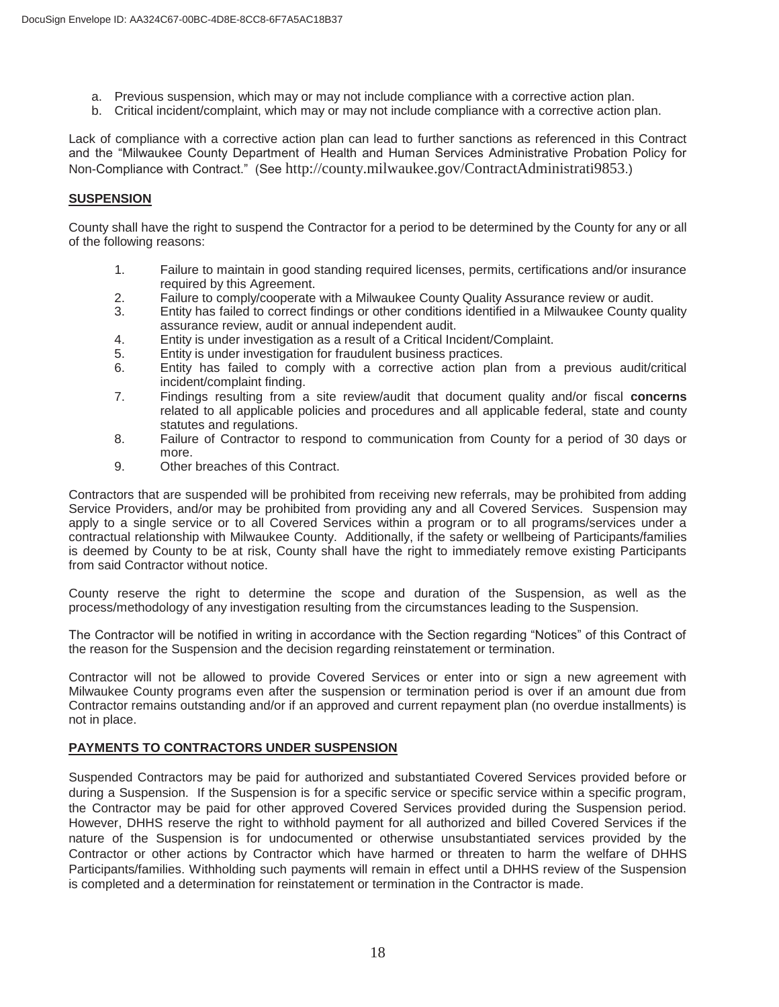- a. Previous suspension, which may or may not include compliance with a corrective action plan.
- b. Critical incident/complaint, which may or may not include compliance with a corrective action plan.

Lack of compliance with a corrective action plan can lead to further sanctions as referenced in this Contract and the "Milwaukee County Department of Health and Human Services Administrative Probation Policy for Non-Compliance with Contract." (See http://county.milwaukee.gov/ContractAdministrati9853.)

#### **SUSPENSION**

County shall have the right to suspend the Contractor for a period to be determined by the County for any or all of the following reasons:

- 1. Failure to maintain in good standing required licenses, permits, certifications and/or insurance required by this Agreement.
- 2. Failure to comply/cooperate with a Milwaukee County Quality Assurance review or audit.
- 3. Entity has failed to correct findings or other conditions identified in a Milwaukee County quality assurance review, audit or annual independent audit.
- 4. Entity is under investigation as a result of a Critical Incident/Complaint.
- 5. Entity is under investigation for fraudulent business practices.
- 6. Entity has failed to comply with a corrective action plan from a previous audit/critical incident/complaint finding.
- 7. Findings resulting from a site review/audit that document quality and/or fiscal **concerns**  related to all applicable policies and procedures and all applicable federal, state and county statutes and regulations.
- 8. Failure of Contractor to respond to communication from County for a period of 30 days or more.
- 9. Other breaches of this Contract.

Contractors that are suspended will be prohibited from receiving new referrals, may be prohibited from adding Service Providers, and/or may be prohibited from providing any and all Covered Services. Suspension may apply to a single service or to all Covered Services within a program or to all programs/services under a contractual relationship with Milwaukee County. Additionally, if the safety or wellbeing of Participants/families is deemed by County to be at risk, County shall have the right to immediately remove existing Participants from said Contractor without notice.

 County reserve the right to determine the scope and duration of the Suspension, as well as the process/methodology of any investigation resulting from the circumstances leading to the Suspension.

The Contractor will be notified in writing in accordance with the Section regarding "Notices" of this Contract of the reason for the Suspension and the decision regarding reinstatement or termination.

Contractor will not be allowed to provide Covered Services or enter into or sign a new agreement with Milwaukee County programs even after the suspension or termination period is over if an amount due from Contractor remains outstanding and/or if an approved and current repayment plan (no overdue installments) is not in place.

#### **PAYMENTS TO CONTRACTORS UNDER SUSPENSION**

Suspended Contractors may be paid for authorized and substantiated Covered Services provided before or during a Suspension. If the Suspension is for a specific service or specific service within a specific program, the Contractor may be paid for other approved Covered Services provided during the Suspension period. However, DHHS reserve the right to withhold payment for all authorized and billed Covered Services if the nature of the Suspension is for undocumented or otherwise unsubstantiated services provided by the Contractor or other actions by Contractor which have harmed or threaten to harm the welfare of DHHS Participants/families. Withholding such payments will remain in effect until a DHHS review of the Suspension is completed and a determination for reinstatement or termination in the Contractor is made.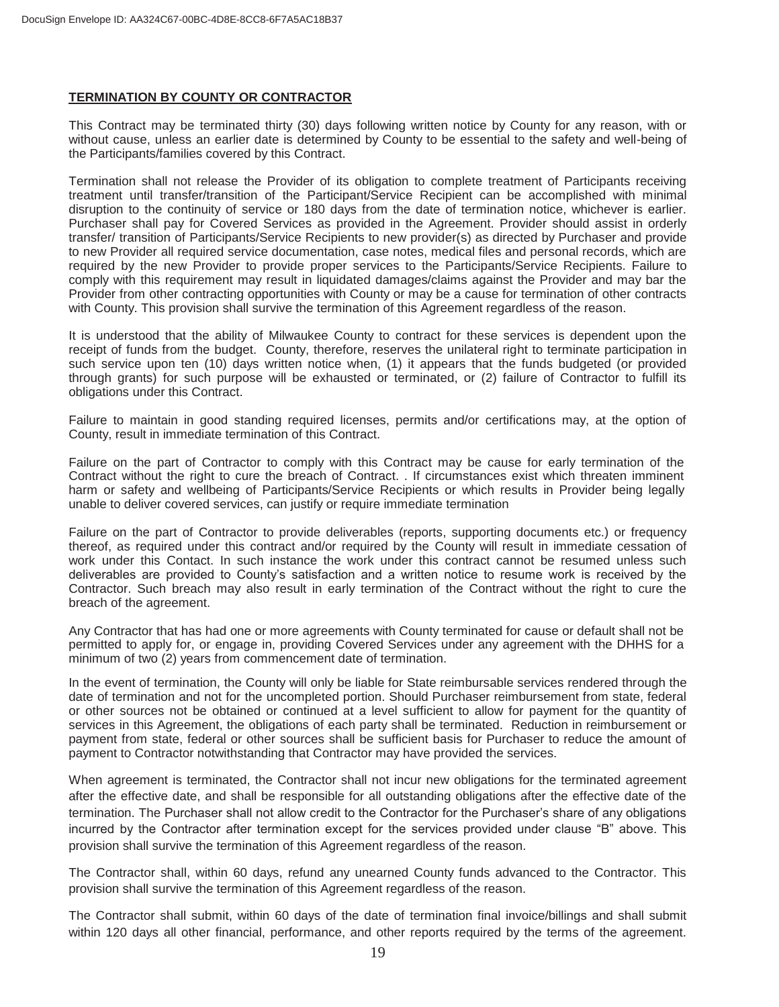#### **TERMINATION BY COUNTY OR CONTRACTOR**

This Contract may be terminated thirty (30) days following written notice by County for any reason, with or without cause, unless an earlier date is determined by County to be essential to the safety and well-being of the Participants/families covered by this Contract.

Termination shall not release the Provider of its obligation to complete treatment of Participants receiving treatment until transfer/transition of the Participant/Service Recipient can be accomplished with minimal disruption to the continuity of service or 180 days from the date of termination notice, whichever is earlier. Purchaser shall pay for Covered Services as provided in the Agreement. Provider should assist in orderly transfer/ transition of Participants/Service Recipients to new provider(s) as directed by Purchaser and provide to new Provider all required service documentation, case notes, medical files and personal records, which are required by the new Provider to provide proper services to the Participants/Service Recipients. Failure to comply with this requirement may result in liquidated damages/claims against the Provider and may bar the Provider from other contracting opportunities with County or may be a cause for termination of other contracts with County. This provision shall survive the termination of this Agreement regardless of the reason.

It is understood that the ability of Milwaukee County to contract for these services is dependent upon the receipt of funds from the budget. County, therefore, reserves the unilateral right to terminate participation in such service upon ten (10) days written notice when, (1) it appears that the funds budgeted (or provided through grants) for such purpose will be exhausted or terminated, or (2) failure of Contractor to fulfill its obligations under this Contract.

Failure to maintain in good standing required licenses, permits and/or certifications may, at the option of County, result in immediate termination of this Contract.

Failure on the part of Contractor to comply with this Contract may be cause for early termination of the Contract without the right to cure the breach of Contract. . If circumstances exist which threaten imminent harm or safety and wellbeing of Participants/Service Recipients or which results in Provider being legally unable to deliver covered services, can justify or require immediate termination

Failure on the part of Contractor to provide deliverables (reports, supporting documents etc.) or frequency thereof, as required under this contract and/or required by the County will result in immediate cessation of work under this Contact. In such instance the work under this contract cannot be resumed unless such deliverables are provided to County's satisfaction and a written notice to resume work is received by the Contractor. Such breach may also result in early termination of the Contract without the right to cure the breach of the agreement.

Any Contractor that has had one or more agreements with County terminated for cause or default shall not be permitted to apply for, or engage in, providing Covered Services under any agreement with the DHHS for a minimum of two (2) years from commencement date of termination.

In the event of termination, the County will only be liable for State reimbursable services rendered through the date of termination and not for the uncompleted portion. Should Purchaser reimbursement from state, federal or other sources not be obtained or continued at a level sufficient to allow for payment for the quantity of services in this Agreement, the obligations of each party shall be terminated. Reduction in reimbursement or payment from state, federal or other sources shall be sufficient basis for Purchaser to reduce the amount of payment to Contractor notwithstanding that Contractor may have provided the services.

When agreement is terminated, the Contractor shall not incur new obligations for the terminated agreement after the effective date, and shall be responsible for all outstanding obligations after the effective date of the termination. The Purchaser shall not allow credit to the Contractor for the Purchaser's share of any obligations incurred by the Contractor after termination except for the services provided under clause "B" above. This provision shall survive the termination of this Agreement regardless of the reason.

The Contractor shall, within 60 days, refund any unearned County funds advanced to the Contractor. This provision shall survive the termination of this Agreement regardless of the reason.

The Contractor shall submit, within 60 days of the date of termination final invoice/billings and shall submit within 120 days all other financial, performance, and other reports required by the terms of the agreement.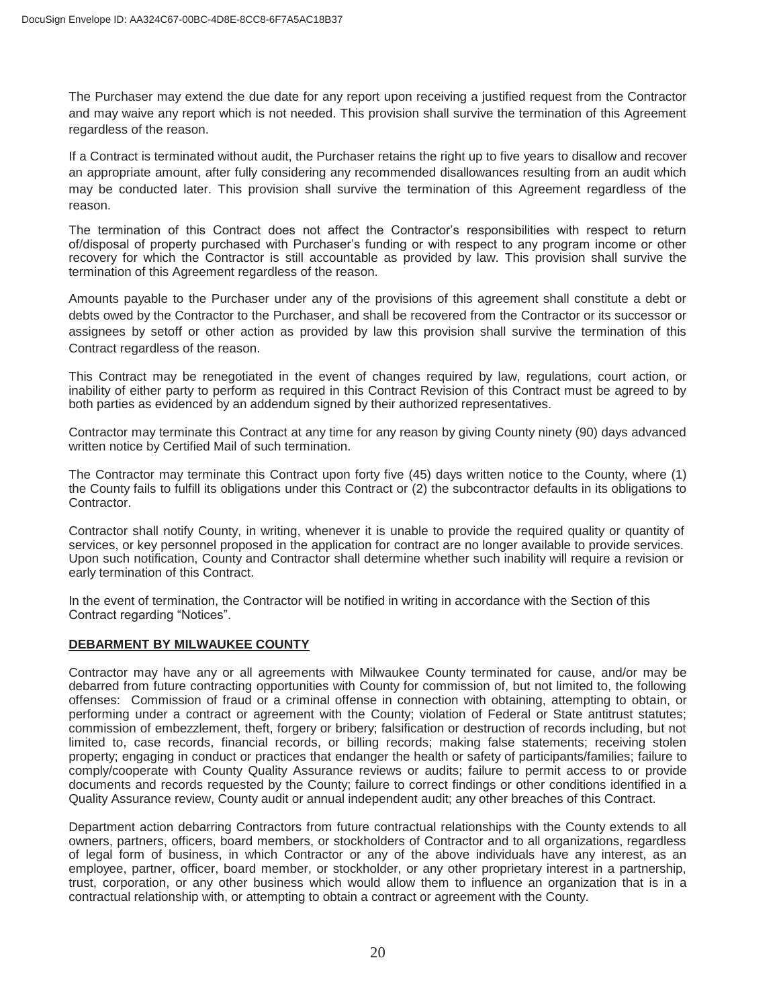The Purchaser may extend the due date for any report upon receiving a justified request from the Contractor and may waive any report which is not needed. This provision shall survive the termination of this Agreement regardless of the reason.

If a Contract is terminated without audit, the Purchaser retains the right up to five years to disallow and recover an appropriate amount, after fully considering any recommended disallowances resulting from an audit which may be conducted later. This provision shall survive the termination of this Agreement regardless of the reason.

The termination of this Contract does not affect the Contractor's responsibilities with respect to return of/disposal of property purchased with Purchaser's funding or with respect to any program income or other recovery for which the Contractor is still accountable as provided by law. This provision shall survive the termination of this Agreement regardless of the reason.

Amounts payable to the Purchaser under any of the provisions of this agreement shall constitute a debt or debts owed by the Contractor to the Purchaser, and shall be recovered from the Contractor or its successor or assignees by setoff or other action as provided by law this provision shall survive the termination of this Contract regardless of the reason.

This Contract may be renegotiated in the event of changes required by law, regulations, court action, or inability of either party to perform as required in this Contract Revision of this Contract must be agreed to by both parties as evidenced by an addendum signed by their authorized representatives.

Contractor may terminate this Contract at any time for any reason by giving County ninety (90) days advanced written notice by Certified Mail of such termination.

The Contractor may terminate this Contract upon forty five (45) days written notice to the County, where (1) the County fails to fulfill its obligations under this Contract or (2) the subcontractor defaults in its obligations to Contractor.

Contractor shall notify County, in writing, whenever it is unable to provide the required quality or quantity of services, or key personnel proposed in the application for contract are no longer available to provide services. Upon such notification, County and Contractor shall determine whether such inability will require a revision or early termination of this Contract.

In the event of termination, the Contractor will be notified in writing in accordance with the Section of this Contract regarding "Notices".

### **DEBARMENT BY MILWAUKEE COUNTY**

Contractor may have any or all agreements with Milwaukee County terminated for cause, and/or may be debarred from future contracting opportunities with County for commission of, but not limited to, the following offenses: Commission of fraud or a criminal offense in connection with obtaining, attempting to obtain, or performing under a contract or agreement with the County; violation of Federal or State antitrust statutes; commission of embezzlement, theft, forgery or bribery; falsification or destruction of records including, but not limited to, case records, financial records, or billing records; making false statements; receiving stolen property; engaging in conduct or practices that endanger the health or safety of participants/families; failure to comply/cooperate with County Quality Assurance reviews or audits; failure to permit access to or provide documents and records requested by the County; failure to correct findings or other conditions identified in a Quality Assurance review, County audit or annual independent audit; any other breaches of this Contract.

Department action debarring Contractors from future contractual relationships with the County extends to all owners, partners, officers, board members, or stockholders of Contractor and to all organizations, regardless of legal form of business, in which Contractor or any of the above individuals have any interest, as an employee, partner, officer, board member, or stockholder, or any other proprietary interest in a partnership, trust, corporation, or any other business which would allow them to influence an organization that is in a contractual relationship with, or attempting to obtain a contract or agreement with the County.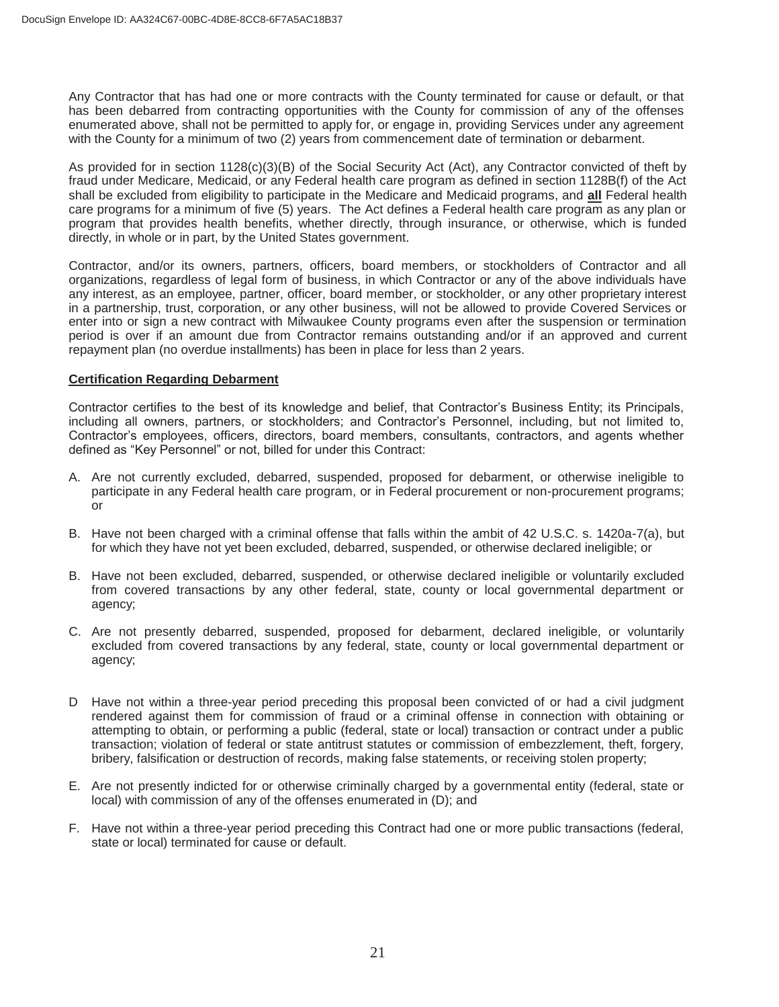Any Contractor that has had one or more contracts with the County terminated for cause or default, or that has been debarred from contracting opportunities with the County for commission of any of the offenses enumerated above, shall not be permitted to apply for, or engage in, providing Services under any agreement with the County for a minimum of two (2) years from commencement date of termination or debarment.

As provided for in section 1128(c)(3)(B) of the Social Security Act (Act), any Contractor convicted of theft by fraud under Medicare, Medicaid, or any Federal health care program as defined in section 1128B(f) of the Act shall be excluded from eligibility to participate in the Medicare and Medicaid programs, and **all** Federal health care programs for a minimum of five (5) years. The Act defines a Federal health care program as any plan or program that provides health benefits, whether directly, through insurance, or otherwise, which is funded directly, in whole or in part, by the United States government.

Contractor, and/or its owners, partners, officers, board members, or stockholders of Contractor and all organizations, regardless of legal form of business, in which Contractor or any of the above individuals have any interest, as an employee, partner, officer, board member, or stockholder, or any other proprietary interest in a partnership, trust, corporation, or any other business, will not be allowed to provide Covered Services or enter into or sign a new contract with Milwaukee County programs even after the suspension or termination period is over if an amount due from Contractor remains outstanding and/or if an approved and current repayment plan (no overdue installments) has been in place for less than 2 years.

#### **Certification Regarding Debarment**

Contractor certifies to the best of its knowledge and belief, that Contractor's Business Entity; its Principals, including all owners, partners, or stockholders; and Contractor's Personnel, including, but not limited to, Contractor's employees, officers, directors, board members, consultants, contractors, and agents whether defined as "Key Personnel" or not, billed for under this Contract:

- A. Are not currently excluded, debarred, suspended, proposed for debarment, or otherwise ineligible to participate in any Federal health care program, or in Federal procurement or non-procurement programs; or
- B. Have not been charged with a criminal offense that falls within the ambit of 42 U.S.C. s. 1420a-7(a), but for which they have not yet been excluded, debarred, suspended, or otherwise declared ineligible; or
- B. Have not been excluded, debarred, suspended, or otherwise declared ineligible or voluntarily excluded from covered transactions by any other federal, state, county or local governmental department or agency;
- C. Are not presently debarred, suspended, proposed for debarment, declared ineligible, or voluntarily excluded from covered transactions by any federal, state, county or local governmental department or agency;
- D Have not within a three-year period preceding this proposal been convicted of or had a civil judgment rendered against them for commission of fraud or a criminal offense in connection with obtaining or attempting to obtain, or performing a public (federal, state or local) transaction or contract under a public transaction; violation of federal or state antitrust statutes or commission of embezzlement, theft, forgery, bribery, falsification or destruction of records, making false statements, or receiving stolen property;
- E. Are not presently indicted for or otherwise criminally charged by a governmental entity (federal, state or local) with commission of any of the offenses enumerated in (D); and
- F. Have not within a three-year period preceding this Contract had one or more public transactions (federal, state or local) terminated for cause or default.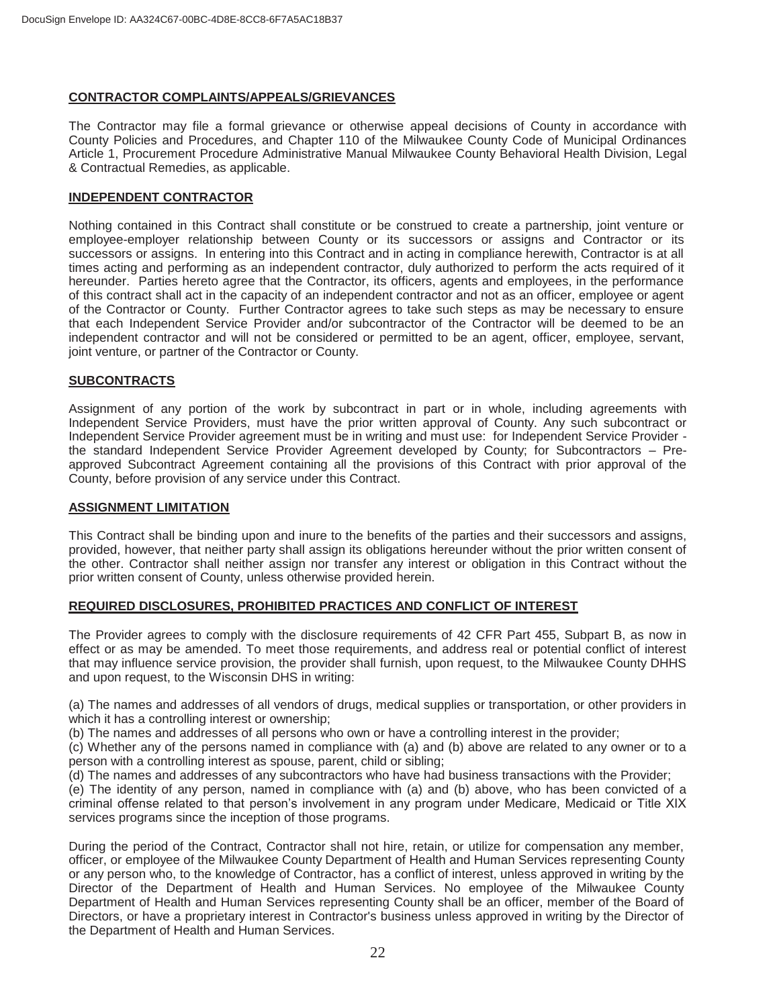#### **CONTRACTOR COMPLAINTS/APPEALS/GRIEVANCES**

The Contractor may file a formal grievance or otherwise appeal decisions of County in accordance with County Policies and Procedures, and Chapter 110 of the Milwaukee County Code of Municipal Ordinances Article 1, Procurement Procedure Administrative Manual Milwaukee County Behavioral Health Division, Legal & Contractual Remedies, as applicable.

#### **INDEPENDENT CONTRACTOR**

Nothing contained in this Contract shall constitute or be construed to create a partnership, joint venture or employee-employer relationship between County or its successors or assigns and Contractor or its successors or assigns. In entering into this Contract and in acting in compliance herewith, Contractor is at all times acting and performing as an independent contractor, duly authorized to perform the acts required of it hereunder. Parties hereto agree that the Contractor, its officers, agents and employees, in the performance of this contract shall act in the capacity of an independent contractor and not as an officer, employee or agent of the Contractor or County. Further Contractor agrees to take such steps as may be necessary to ensure that each Independent Service Provider and/or subcontractor of the Contractor will be deemed to be an independent contractor and will not be considered or permitted to be an agent, officer, employee, servant, joint venture, or partner of the Contractor or County.

#### **SUBCONTRACTS**

Assignment of any portion of the work by subcontract in part or in whole, including agreements with Independent Service Providers, must have the prior written approval of County. Any such subcontract or Independent Service Provider agreement must be in writing and must use: for Independent Service Provider the standard Independent Service Provider Agreement developed by County; for Subcontractors – Preapproved Subcontract Agreement containing all the provisions of this Contract with prior approval of the County, before provision of any service under this Contract.

#### **ASSIGNMENT LIMITATION**

This Contract shall be binding upon and inure to the benefits of the parties and their successors and assigns, provided, however, that neither party shall assign its obligations hereunder without the prior written consent of the other. Contractor shall neither assign nor transfer any interest or obligation in this Contract without the prior written consent of County, unless otherwise provided herein.

#### **REQUIRED DISCLOSURES, PROHIBITED PRACTICES AND CONFLICT OF INTEREST**

The Provider agrees to comply with the disclosure requirements of 42 CFR Part 455, Subpart B, as now in effect or as may be amended. To meet those requirements, and address real or potential conflict of interest that may influence service provision, the provider shall furnish, upon request, to the Milwaukee County DHHS and upon request, to the Wisconsin DHS in writing:

(a) The names and addresses of all vendors of drugs, medical supplies or transportation, or other providers in which it has a controlling interest or ownership;

(b) The names and addresses of all persons who own or have a controlling interest in the provider;

(c) Whether any of the persons named in compliance with (a) and (b) above are related to any owner or to a person with a controlling interest as spouse, parent, child or sibling;

(d) The names and addresses of any subcontractors who have had business transactions with the Provider;

(e) The identity of any person, named in compliance with (a) and (b) above, who has been convicted of a criminal offense related to that person's involvement in any program under Medicare, Medicaid or Title XIX services programs since the inception of those programs.

 During the period of the Contract, Contractor shall not hire, retain, or utilize for compensation any member, officer, or employee of the Milwaukee County Department of Health and Human Services representing County or any person who, to the knowledge of Contractor, has a conflict of interest, unless approved in writing by the Director of the Department of Health and Human Services. No employee of the Milwaukee County Department of Health and Human Services representing County shall be an officer, member of the Board of Directors, or have a proprietary interest in Contractor's business unless approved in writing by the Director of the Department of Health and Human Services.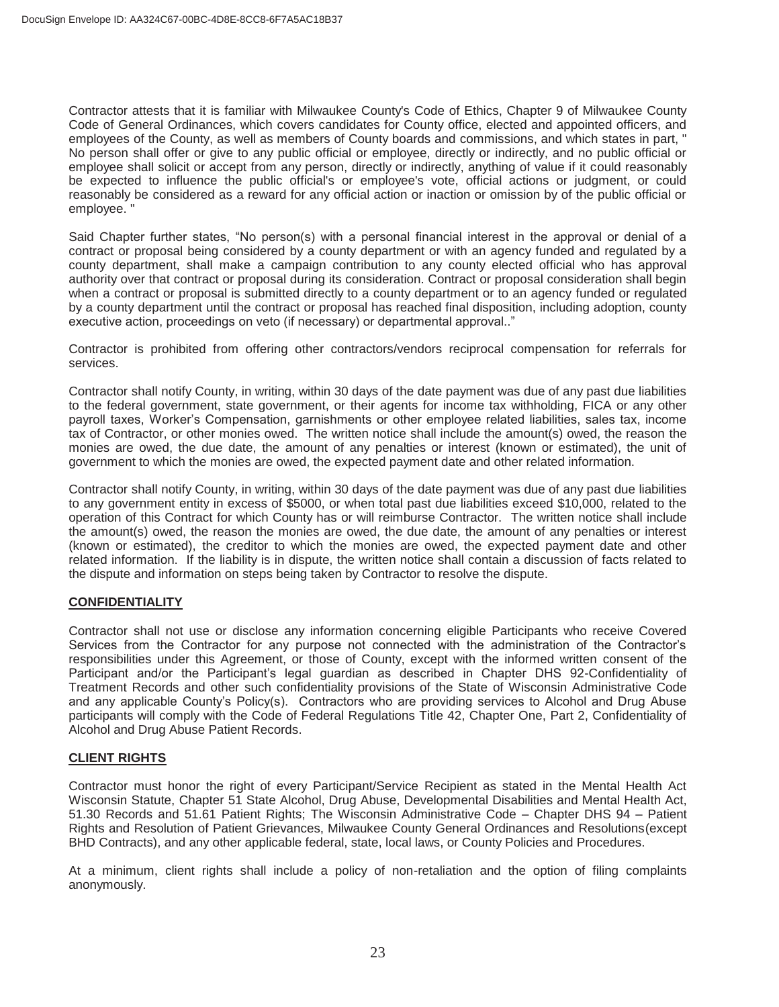Contractor attests that it is familiar with Milwaukee County's Code of Ethics, Chapter 9 of Milwaukee County Code of General Ordinances, which covers candidates for County office, elected and appointed officers, and employees of the County, as well as members of County boards and commissions, and which states in part, " No person shall offer or give to any public official or employee, directly or indirectly, and no public official or employee shall solicit or accept from any person, directly or indirectly, anything of value if it could reasonably be expected to influence the public official's or employee's vote, official actions or judgment, or could reasonably be considered as a reward for any official action or inaction or omission by of the public official or employee. "

Said Chapter further states, "No person(s) with a personal financial interest in the approval or denial of a contract or proposal being considered by a county department or with an agency funded and regulated by a county department, shall make a campaign contribution to any county elected official who has approval authority over that contract or proposal during its consideration. Contract or proposal consideration shall begin when a contract or proposal is submitted directly to a county department or to an agency funded or regulated by a county department until the contract or proposal has reached final disposition, including adoption, county executive action, proceedings on veto (if necessary) or departmental approval.."

Contractor is prohibited from offering other contractors/vendors reciprocal compensation for referrals for services.

Contractor shall notify County, in writing, within 30 days of the date payment was due of any past due liabilities to the federal government, state government, or their agents for income tax withholding, FICA or any other payroll taxes, Worker's Compensation, garnishments or other employee related liabilities, sales tax, income tax of Contractor, or other monies owed. The written notice shall include the amount(s) owed, the reason the monies are owed, the due date, the amount of any penalties or interest (known or estimated), the unit of government to which the monies are owed, the expected payment date and other related information.

Contractor shall notify County, in writing, within 30 days of the date payment was due of any past due liabilities to any government entity in excess of \$5000, or when total past due liabilities exceed \$10,000, related to the operation of this Contract for which County has or will reimburse Contractor. The written notice shall include the amount(s) owed, the reason the monies are owed, the due date, the amount of any penalties or interest (known or estimated), the creditor to which the monies are owed, the expected payment date and other related information. If the liability is in dispute, the written notice shall contain a discussion of facts related to the dispute and information on steps being taken by Contractor to resolve the dispute.

### **CONFIDENTIALITY**

Contractor shall not use or disclose any information concerning eligible Participants who receive Covered Services from the Contractor for any purpose not connected with the administration of the Contractor's responsibilities under this Agreement, or those of County, except with the informed written consent of the Participant and/or the Participant's legal guardian as described in Chapter DHS 92-Confidentiality of Treatment Records and other such confidentiality provisions of the State of Wisconsin Administrative Code and any applicable County's Policy(s). Contractors who are providing services to Alcohol and Drug Abuse participants will comply with the Code of Federal Regulations Title 42, Chapter One, Part 2, Confidentiality of Alcohol and Drug Abuse Patient Records.

### **CLIENT RIGHTS**

Contractor must honor the right of every Participant/Service Recipient as stated in the Mental Health Act Wisconsin Statute, Chapter 51 State Alcohol, Drug Abuse, Developmental Disabilities and Mental Health Act, 51.30 Records and 51.61 Patient Rights; The Wisconsin Administrative Code – Chapter DHS 94 – Patient Rights and Resolution of Patient Grievances, Milwaukee County General Ordinances and Resolutions(except BHD Contracts), and any other applicable federal, state, local laws, or County Policies and Procedures.

At a minimum, client rights shall include a policy of non-retaliation and the option of filing complaints anonymously.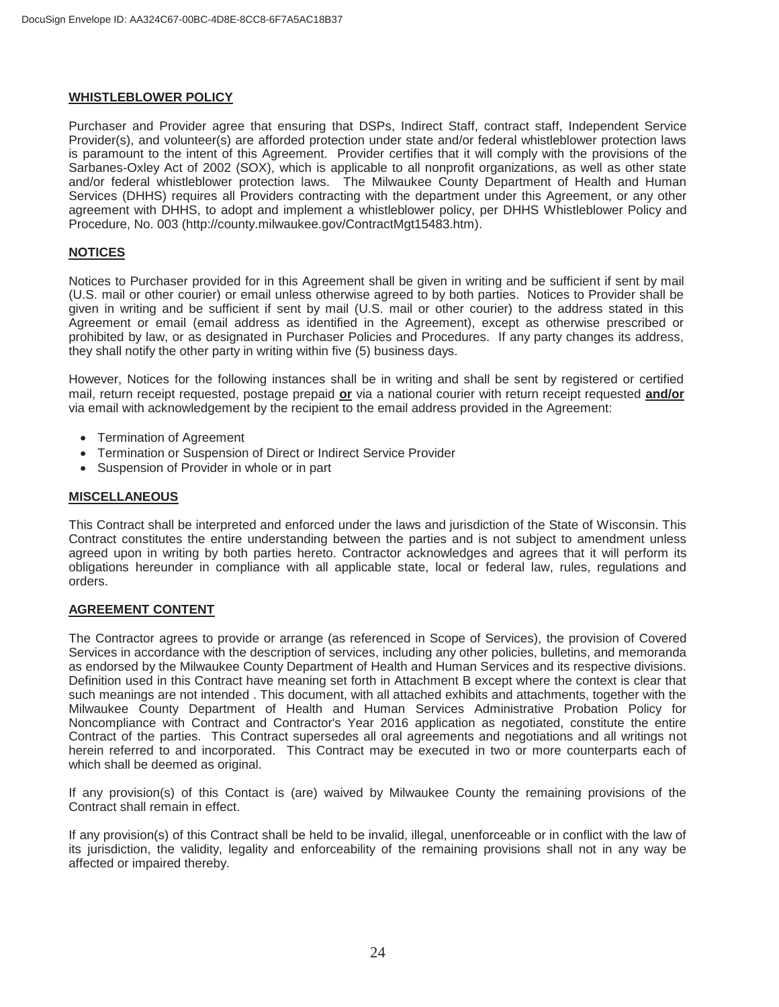#### **WHISTLEBLOWER POLICY**

Purchaser and Provider agree that ensuring that DSPs, Indirect Staff, contract staff, Independent Service Provider(s), and volunteer(s) are afforded protection under state and/or federal whistleblower protection laws is paramount to the intent of this Agreement. Provider certifies that it will comply with the provisions of the Sarbanes-Oxley Act of 2002 (SOX), which is applicable to all nonprofit organizations, as well as other state and/or federal whistleblower protection laws. The Milwaukee County Department of Health and Human Services (DHHS) requires all Providers contracting with the department under this Agreement, or any other agreement with DHHS, to adopt and implement a whistleblower policy, per DHHS Whistleblower Policy and Procedure, No. 003 (http://county.milwaukee.gov/ContractMgt15483.htm).

#### **NOTICES**

Notices to Purchaser provided for in this Agreement shall be given in writing and be sufficient if sent by mail (U.S. mail or other courier) or email unless otherwise agreed to by both parties. Notices to Provider shall be given in writing and be sufficient if sent by mail (U.S. mail or other courier) to the address stated in this Agreement or email (email address as identified in the Agreement), except as otherwise prescribed or prohibited by law, or as designated in Purchaser Policies and Procedures. If any party changes its address, they shall notify the other party in writing within five (5) business days.

However, Notices for the following instances shall be in writing and shall be sent by registered or certified mail, return receipt requested, postage prepaid **or** via a national courier with return receipt requested **and/or** via email with acknowledgement by the recipient to the email address provided in the Agreement:

- Termination of Agreement
- Termination or Suspension of Direct or Indirect Service Provider
- Suspension of Provider in whole or in part

#### **MISCELLANEOUS**

This Contract shall be interpreted and enforced under the laws and jurisdiction of the State of Wisconsin. This Contract constitutes the entire understanding between the parties and is not subject to amendment unless agreed upon in writing by both parties hereto. Contractor acknowledges and agrees that it will perform its obligations hereunder in compliance with all applicable state, local or federal law, rules, regulations and orders.

#### **AGREEMENT CONTENT**

The Contractor agrees to provide or arrange (as referenced in Scope of Services), the provision of Covered Services in accordance with the description of services, including any other policies, bulletins, and memoranda as endorsed by the Milwaukee County Department of Health and Human Services and its respective divisions. Definition used in this Contract have meaning set forth in Attachment B except where the context is clear that such meanings are not intended . This document, with all attached exhibits and attachments, together with the Milwaukee County Department of Health and Human Services Administrative Probation Policy for Noncompliance with Contract and Contractor's Year 2016 application as negotiated, constitute the entire Contract of the parties. This Contract supersedes all oral agreements and negotiations and all writings not herein referred to and incorporated. This Contract may be executed in two or more counterparts each of which shall be deemed as original.

If any provision(s) of this Contact is (are) waived by Milwaukee County the remaining provisions of the Contract shall remain in effect.

If any provision(s) of this Contract shall be held to be invalid, illegal, unenforceable or in conflict with the law of its jurisdiction, the validity, legality and enforceability of the remaining provisions shall not in any way be affected or impaired thereby.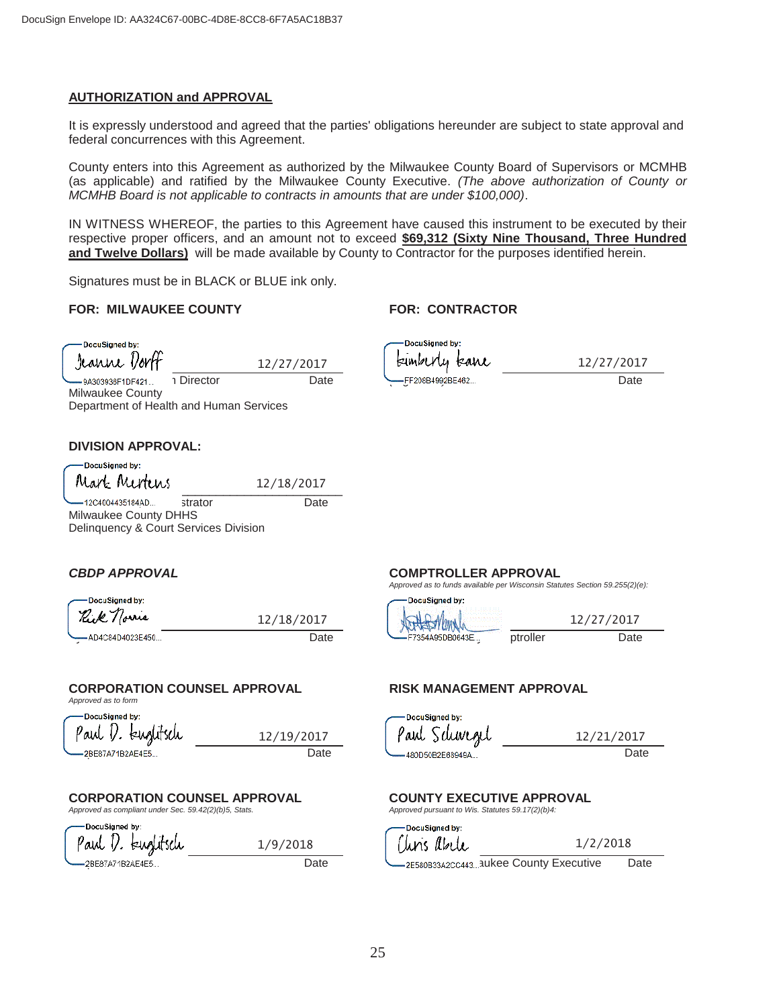#### **AUTHORIZATION and APPROVAL**

It is expressly understood and agreed that the parties' obligations hereunder are subject to state approval and federal concurrences with this Agreement.

County enters into this Agreement as authorized by the Milwaukee County Board of Supervisors or MCMHB (as applicable) and ratified by the Milwaukee County Executive. *(The above authorization of County or MCMHB Board is not applicable to contracts in amounts that are under \$100,000)*.

IN WITNESS WHEREOF, the parties to this Agreement have caused this instrument to be executed by their respective proper officers, and an amount not to exceed **\$69,312 (Sixty Nine Thousand, Three Hundred and Twelve Dollars)** will be made available by County to Contractor for the purposes identified herein.

Signatures must be in BLACK or BLUE ink only.

#### **FOR: MILWAUKEE COUNTY FOR: CONTRACTOR**

DocuSianed by: Jeanne Vor

Milwaukee County

12/27/2017

12/18/2017

1/9/2018

DocuSigned by: kumbUly kawe Jeanne Dorff, Interim Director Date *(Signature)* Date

12/27/2017

#### **DIVISION APPROVAL:**

L DocuSigned by: Mark Mertens 12/18/2017<br>-12C4004435184AD... strator Date

12C4004435184AD... strator Milwaukee County DHHS Delinquency & Court Services Division

Department of Health and Human Services

| DocuSigned by:<br>Rick norme | 12/18/2017 |
|------------------------------|------------|
|                              |            |
| AD4C84D4023E450              | Date       |

### **CORPORATION COUNSEL APPROVAL RISK MANAGEMENT APPROVAL**

*Approved as to form* 

DocuSigned by 'aul 1/. 12/19/2017 Corporation Counsel Date Risk Management Date

# **CORPORATION COUNSEL APPROVAL COUNTY EXECUTIVE APPROVAL**<br> *Approved as compliant under Sec. 59.42(2)(b)5. Stats.* Approved pursuant to Wis. Statutes 59.17(2)(b)4:

*Approved as compliant under Sec. 59.42(2)(b)5, Stats.* DocuSianed by

Paul I. Euglitsch

#### *CBDP APPROVAL* **COMPTROLLER APPROVAL**

*Approved as to funds available per Wisconsin Statutes Section 59.255(2)(e):* 

| DocuSigned by: |                    | DocuSigned by:       |          |      |
|----------------|--------------------|----------------------|----------|------|
| Kuk<br>prre    | /2017<br>/18/<br>- | $N$ $N_{\text{max}}$ |          | /201 |
| D4C84D4023E450 | Date               | F7354A95DB0643E      | ptroller | Date |

DocuSianed by: Paul Schwe*n*el

12/21/2017

DocuSianed by: 'tins *l*ibele  $1/2/2018$ 

Corporation Counsel Date Chris Abele, Milwaukee County Executive Date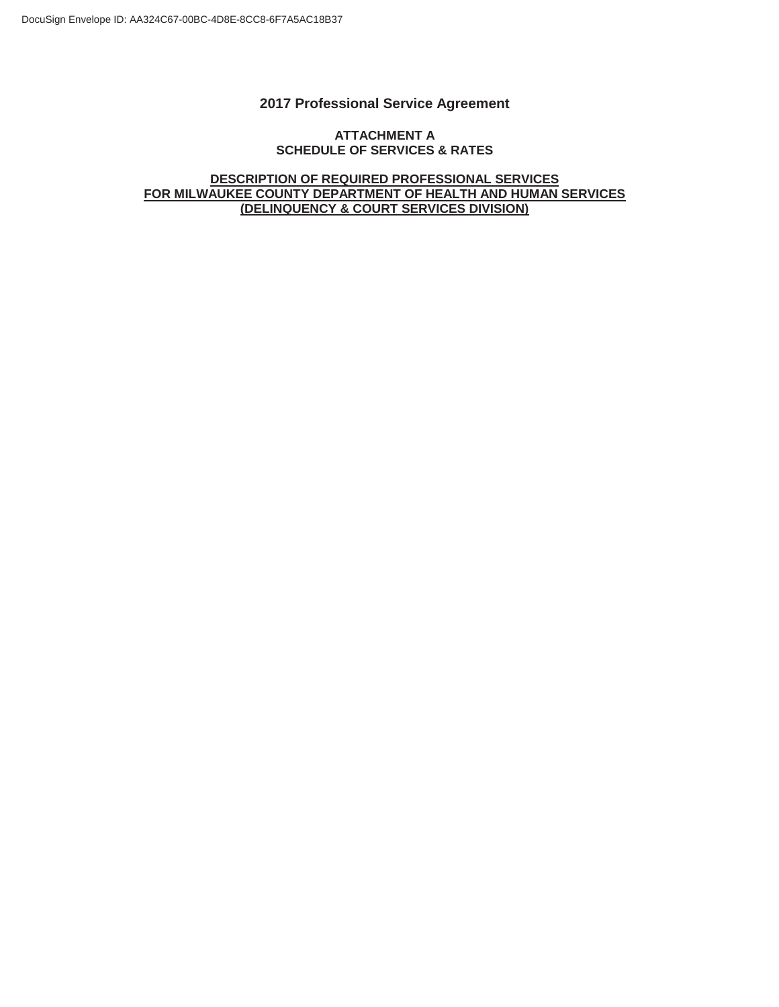### **2017 Professional Service Agreement**

#### **ATTACHMENT A SCHEDULE OF SERVICES & RATES**

**DESCRIPTION OF REQUIRED PROFESSIONAL SERVICES FOR MILWAUKEE COUNTY DEPARTMENT OF HEALTH AND HUMAN SERVICES (DELINQUENCY & COURT SERVICES DIVISION)**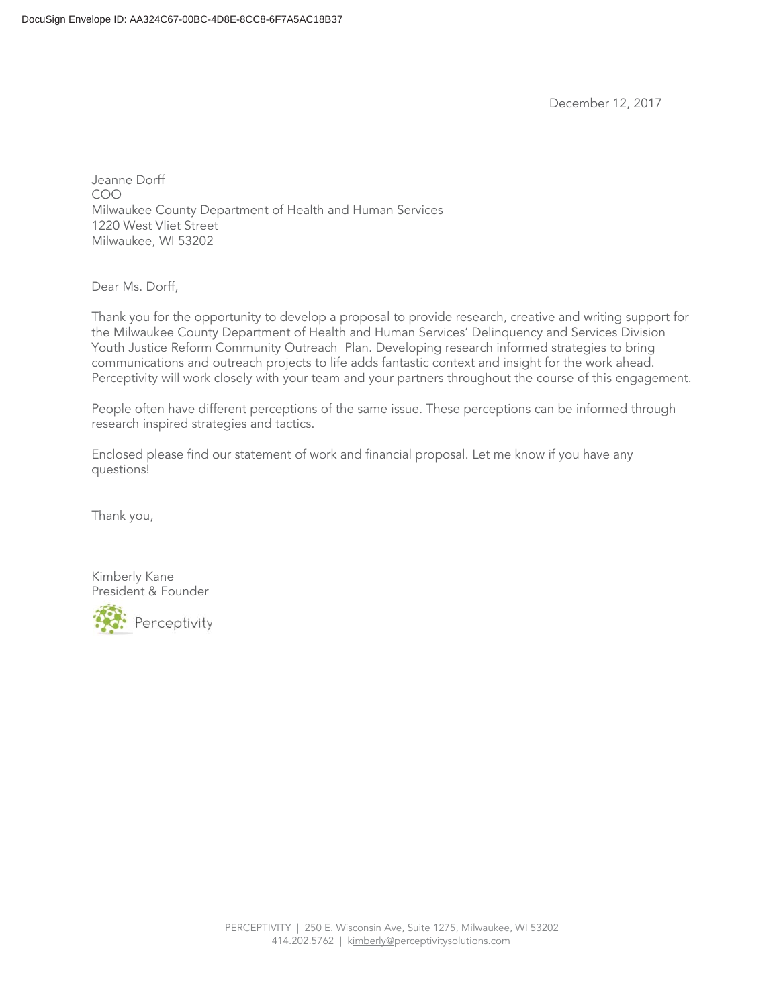December 12, 2017

Jeanne Dorff COO Milwaukee County Department of Health and Human Services 1220 West Vliet Street Milwaukee, WI 53202

Dear Ms. Dorff,

Thank you for the opportunity to develop a proposal to provide research, creative and writing support for the Milwaukee County Department of Health and Human Services' Delinquency and Services Division Youth Justice Reform Community Outreach Plan. Developing research informed strategies to bring communications and outreach projects to life adds fantastic context and insight for the work ahead. Perceptivity will work closely with your team and your partners throughout the course of this engagement.

People often have different perceptions of the same issue. These perceptions can be informed through research inspired strategies and tactics.

Enclosed please find our statement of work and financial proposal. Let me know if you have any questions!

Thank you,

Kimberly Kane President & Founder

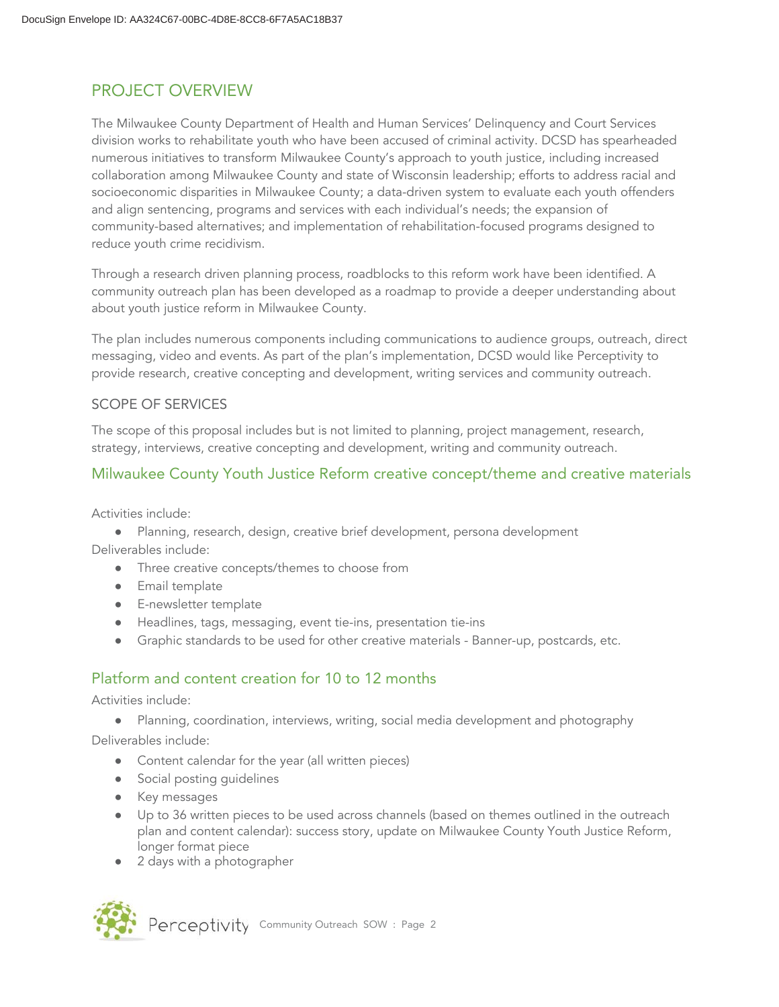# PROJECT OVERVIEW

The Milwaukee County Department of Health and Human Services' Delinquency and Court Services division works to rehabilitate youth who have been accused of criminal activity. DCSD has spearheaded numerous initiatives to transform Milwaukee County's approach to youth justice, including increased collaboration among Milwaukee County and state of Wisconsin leadership; efforts to address racial and socioeconomic disparities in Milwaukee County; a data-driven system to evaluate each youth offenders and align sentencing, programs and services with each individual's needs; the expansion of community-based alternatives; and implementation of rehabilitation-focused programs designed to reduce youth crime recidivism.

Through a research driven planning process, roadblocks to this reform work have been identified. A community outreach plan has been developed as a roadmap to provide a deeper understanding about about youth justice reform in Milwaukee County.

The plan includes numerous components including communications to audience groups, outreach, direct messaging, video and events. As part of the plan's implementation, DCSD would like Perceptivity to provide research, creative concepting and development, writing services and community outreach.

## SCOPE OF SERVICES

The scope of this proposal includes but is not limited to planning, project management, research, strategy, interviews, creative concepting and development, writing and community outreach.

# Milwaukee County Youth Justice Reform creative concept/theme and creative materials

Activities include:

- Planning, research, design, creative brief development, persona development Deliverables include:
	- Three creative concepts/themes to choose from
	- Email template
	- E-newsletter template
	- Headlines, tags, messaging, event tie-ins, presentation tie-ins
	- Graphic standards to be used for other creative materials Banner-up, postcards, etc.

# Platform and content creation for 10 to 12 months

Activities include:

● Planning, coordination, interviews, writing, social media development and photography

Deliverables include:

- Content calendar for the year (all written pieces)
- Social posting guidelines
- Key messages
- Up to 36 written pieces to be used across channels (based on themes outlined in the outreach plan and content calendar): success story, update on Milwaukee County Youth Justice Reform, longer format piece
- 2 days with a photographer

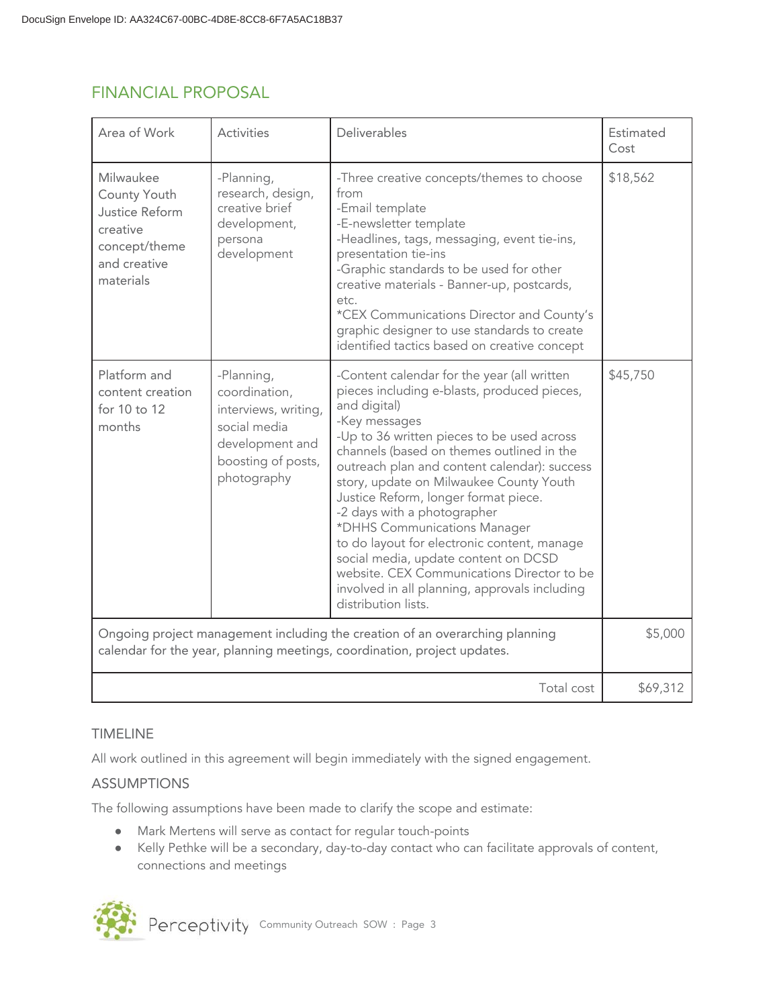| Area of Work                                                                                          | Activities                                                                                                                  | Deliverables                                                                                                                                                                                                                                                                                                                                                                                                                                                                                                                                                                                                                          | Estimated<br>Cost |
|-------------------------------------------------------------------------------------------------------|-----------------------------------------------------------------------------------------------------------------------------|---------------------------------------------------------------------------------------------------------------------------------------------------------------------------------------------------------------------------------------------------------------------------------------------------------------------------------------------------------------------------------------------------------------------------------------------------------------------------------------------------------------------------------------------------------------------------------------------------------------------------------------|-------------------|
| Milwaukee<br>County Youth<br>Justice Reform<br>creative<br>concept/theme<br>and creative<br>materials | -Planning,<br>research, design,<br>creative brief<br>development,<br>persona<br>development                                 | -Three creative concepts/themes to choose<br>from<br>-Email template<br>-E-newsletter template<br>-Headlines, tags, messaging, event tie-ins,<br>presentation tie-ins<br>-Graphic standards to be used for other<br>creative materials - Banner-up, postcards,<br>etc.<br>*CEX Communications Director and County's<br>graphic designer to use standards to create<br>identified tactics based on creative concept                                                                                                                                                                                                                    | \$18,562          |
| Platform and<br>content creation<br>for 10 to 12<br>months                                            | -Planning,<br>coordination,<br>interviews, writing,<br>social media<br>development and<br>boosting of posts,<br>photography | -Content calendar for the year (all written<br>pieces including e-blasts, produced pieces,<br>and digital)<br>-Key messages<br>-Up to 36 written pieces to be used across<br>channels (based on themes outlined in the<br>outreach plan and content calendar): success<br>story, update on Milwaukee County Youth<br>Justice Reform, longer format piece.<br>-2 days with a photographer<br>*DHHS Communications Manager<br>to do layout for electronic content, manage<br>social media, update content on DCSD<br>website. CEX Communications Director to be<br>involved in all planning, approvals including<br>distribution lists. | \$45,750          |
|                                                                                                       |                                                                                                                             | Ongoing project management including the creation of an overarching planning<br>calendar for the year, planning meetings, coordination, project updates.                                                                                                                                                                                                                                                                                                                                                                                                                                                                              | \$5,000           |
|                                                                                                       |                                                                                                                             | Total cost                                                                                                                                                                                                                                                                                                                                                                                                                                                                                                                                                                                                                            | \$69,312          |

# FINANCIAL PROPOSAL

# TIMELINE

All work outlined in this agreement will begin immediately with the signed engagement.

# ASSUMPTIONS

The following assumptions have been made to clarify the scope and estimate:

- Mark Mertens will serve as contact for regular touch-points
- Kelly Pethke will be a secondary, day-to-day contact who can facilitate approvals of content, connections and meetings